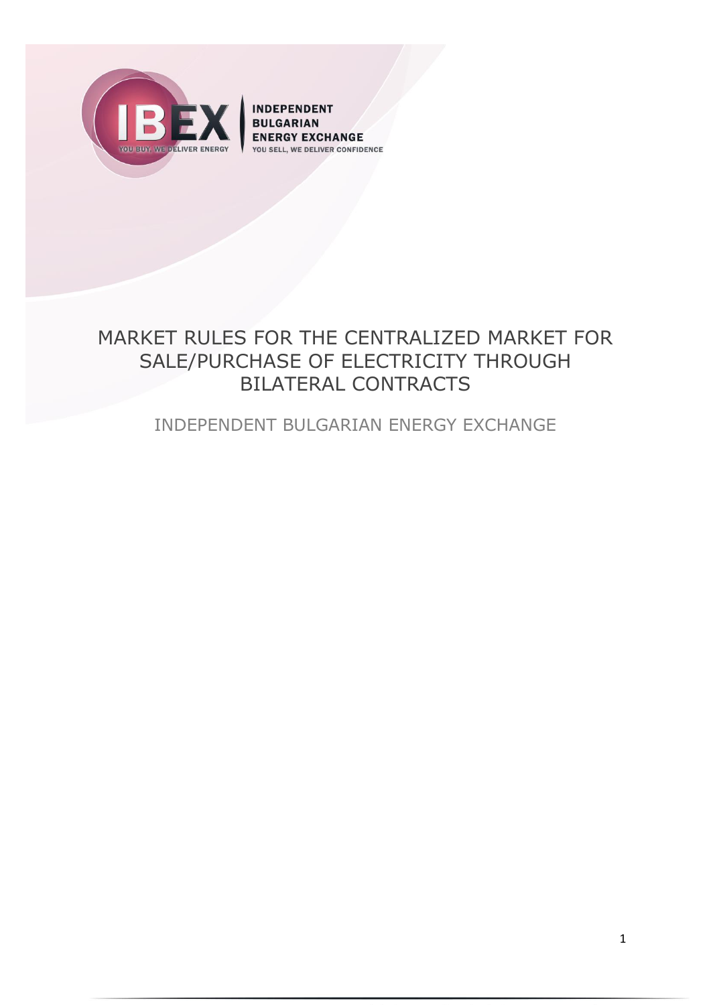

**INDEPENDENT BULGARIAN ENERGY EXCHANGE** YOU SELL, WE DELIVER CONFIDENCE

# MARKET RULES FOR THE CENTRALIZED MARKET FOR SALE/PURCHASE OF ELECTRICITY THROUGH BILATERAL CONTRACTS

# INDEPENDENT BULGARIAN ENERGY EXCHANGE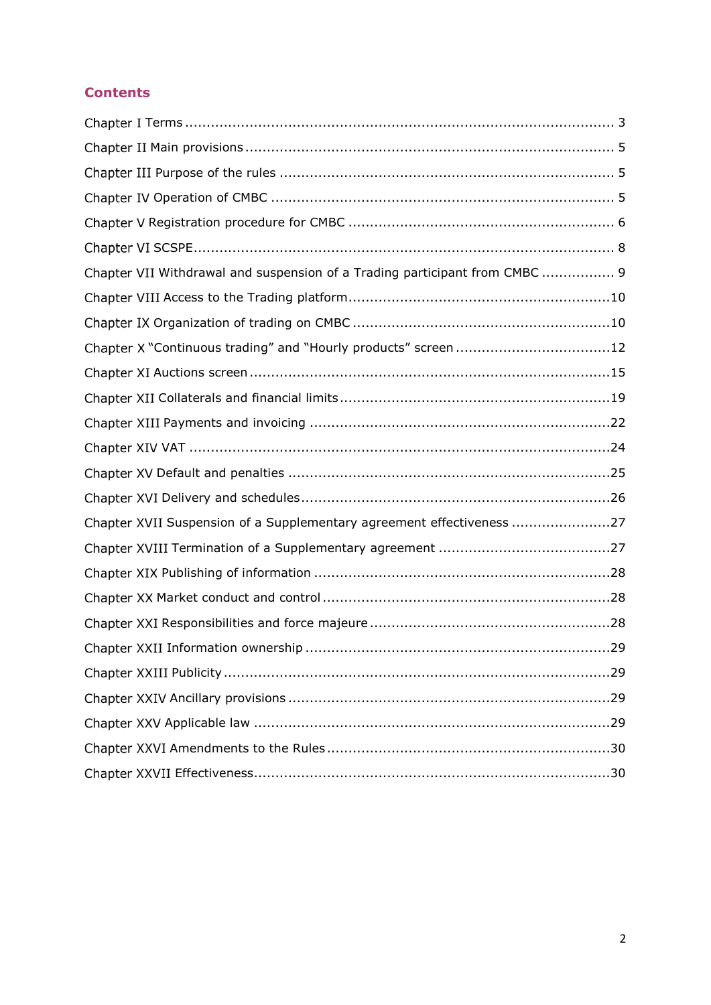# **Contents**

| Chapter VII Withdrawal and suspension of a Trading participant from CMBC  9 |  |
|-----------------------------------------------------------------------------|--|
|                                                                             |  |
|                                                                             |  |
| Chapter X "Continuous trading" and "Hourly products" screen12               |  |
|                                                                             |  |
|                                                                             |  |
|                                                                             |  |
|                                                                             |  |
|                                                                             |  |
|                                                                             |  |
| Chapter XVII Suspension of a Supplementary agreement effectiveness 27       |  |
|                                                                             |  |
|                                                                             |  |
|                                                                             |  |
|                                                                             |  |
|                                                                             |  |
|                                                                             |  |
|                                                                             |  |
|                                                                             |  |
|                                                                             |  |
|                                                                             |  |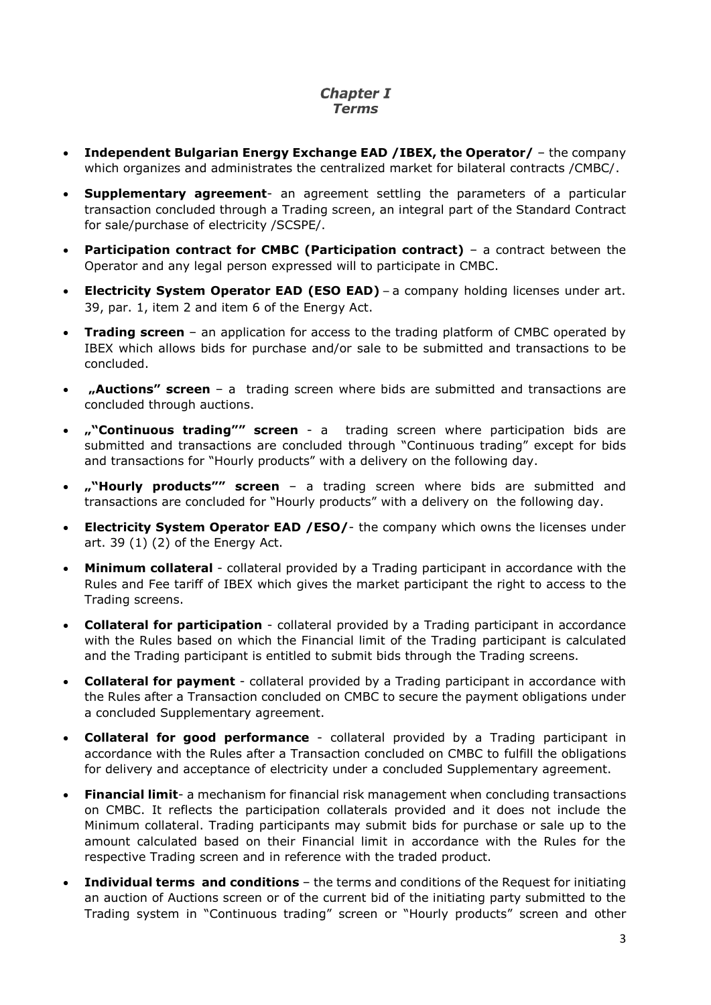# **Chapter I** *Terms*

- <span id="page-2-0"></span> **Independent Bulgarian Energy Exchange EAD /IBEX, the Operator/** – the company which organizes and administrates the centralized market for bilateral contracts /CMBC/.
- **Supplementary agreement** an agreement settling the parameters of a particular transaction concluded through a Trading screen, an integral part of the Standard Contract for sale/purchase of electricity /SCSPE/.
- **Participation contract for CMBC (Participation contract)** a contract between the Operator and any legal person expressed will to participate in CMBC.
- **Electricity System Operator EAD (ESO EAD)** a company holding licenses under art. 39, par. 1, item 2 and item 6 of the Energy Act.
- **Trading screen** an application for access to the trading platform of CMBC operated by IBEX which allows bids for purchase and/or sale to be submitted and transactions to be concluded.
- **"Auctions" screen** a trading screen where bids are submitted and transactions are concluded through auctions.
- **""Continuous trading"" screen** a trading screen where participation bids are submitted and transactions are concluded through "Continuous trading" except for bids and transactions for "Hourly products" with a delivery on the following day.
- **""Hourly products"" screen** a trading screen where bids are submitted and transactions are concluded for "Hourly products" with a delivery on the following day.
- **Electricity System Operator EAD /ESO/** the company which owns the licenses under art. 39 (1) (2) of the Energy Act.
- **Minimum collateral**  collateral provided by a Trading participant in accordance with the Rules and Fee tariff of IBEX which gives the market participant the right to access to the Trading screens.
- **Collateral for participation** collateral provided by a Trading participant in accordance with the Rules based on which the Financial limit of the Trading participant is calculated and the Trading participant is entitled to submit bids through the Trading screens.
- **Collateral for payment** collateral provided by a Trading participant in accordance with the Rules after a Transaction concluded on CMBC to secure the payment obligations under a concluded Supplementary agreement.
- **Collateral for good performance** collateral provided by a Trading participant in accordance with the Rules after a Transaction concluded on CMBC to fulfill the obligations for delivery and acceptance of electricity under a concluded Supplementary agreement.
- **Financial limit** a mechanism for financial risk management when concluding transactions on CMBC. It reflects the participation collaterals provided and it does not include the Minimum collateral. Trading participants may submit bids for purchase or sale up to the amount calculated based on their Financial limit in accordance with the Rules for the respective Trading screen and in reference with the traded product.
- **Individual terms and conditions**  the terms and conditions of the Request for initiating an auction of Auctions screen or of the current bid of the initiating party submitted to the Trading system in "Continuous trading" screen or "Hourly products" screen and other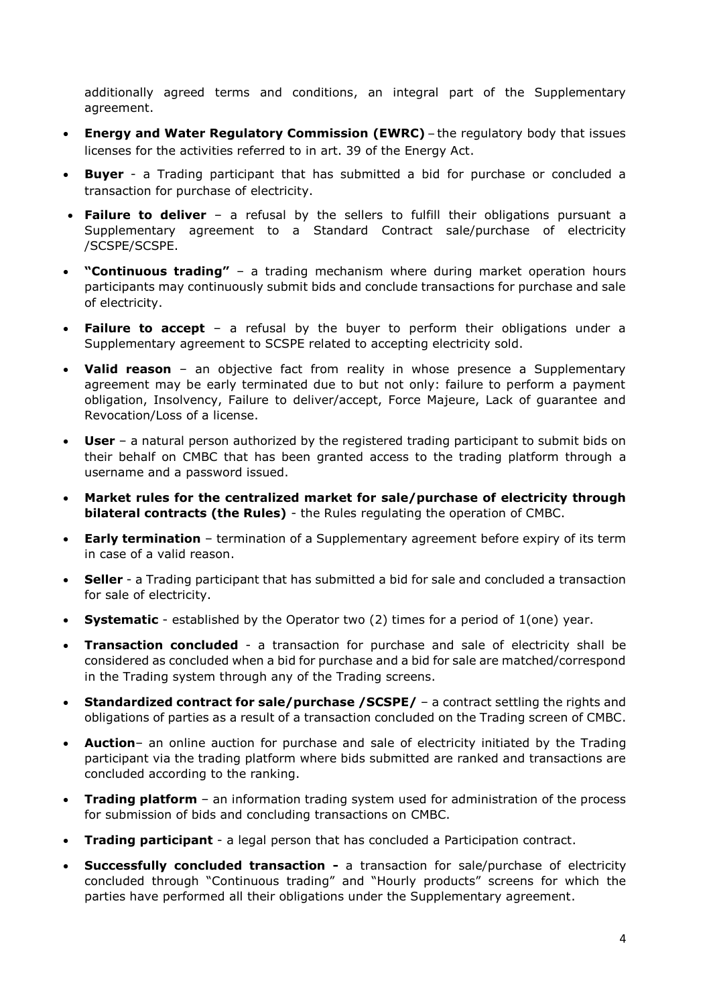additionally agreed terms and conditions, an integral part of the Supplementary agreement.

- **Energy and Water Regulatory Commission (EWRC)** the regulatory body that issues licenses for the activities referred to in art. 39 of the Energy Act.
- **Buyer** a Trading participant that has submitted a bid for purchase or concluded a transaction for purchase of electricity.
- **Failure to deliver** a refusal by the sellers to fulfill their obligations pursuant a Supplementary agreement to a Standard Contract sale/purchase of electricity /SCSPE/SCSPE.
- **"Continuous trading"** a trading mechanism where during market operation hours participants may continuously submit bids and conclude transactions for purchase and sale of electricity.
- **Failure to accept** a refusal by the buyer to perform their obligations under a Supplementary agreement to SCSPE related to accepting electricity sold.
- **Valid reason** an objective fact from reality in whose presence a Supplementary agreement may be early terminated due to but not only: failure to perform a payment obligation, Insolvency, Failure to deliver/accept, Force Majeure, Lack of guarantee and Revocation/Loss of a license.
- **User** a natural person authorized by the registered trading participant to submit bids on their behalf on CMBC that has been granted access to the trading platform through a username and a password issued.
- **Market rules for the centralized market for sale/purchase of electricity through bilateral contracts (the Rules)** - the Rules regulating the operation of CMBC.
- **Early termination** termination of a Supplementary agreement before expiry of its term in case of a valid reason.
- **Seller** a Trading participant that has submitted a bid for sale and concluded a transaction for sale of electricity.
- **Systematic** established by the Operator two (2) times for a period of 1(one) year.
- **Transaction concluded** a transaction for purchase and sale of electricity shall be considered as concluded when a bid for purchase and a bid for sale are matched/correspond in the Trading system through any of the Trading screens.
- **Standardized contract for sale/purchase /SCSPE/** a contract settling the rights and obligations of parties as a result of a transaction concluded on the Trading screen of CMBC.
- **Auction** an online auction for purchase and sale of electricity initiated by the Trading participant via the trading platform where bids submitted are ranked and transactions are concluded according to the ranking.
- **Trading platform** an information trading system used for administration of the process for submission of bids and concluding transactions on CMBC.
- **Trading participant** a legal person that has concluded a Participation contract.
- **Successfully concluded transaction -** a transaction for sale/purchase of electricity concluded through "Continuous trading" and "Hourly products" screens for which the parties have performed all their obligations under the Supplementary agreement.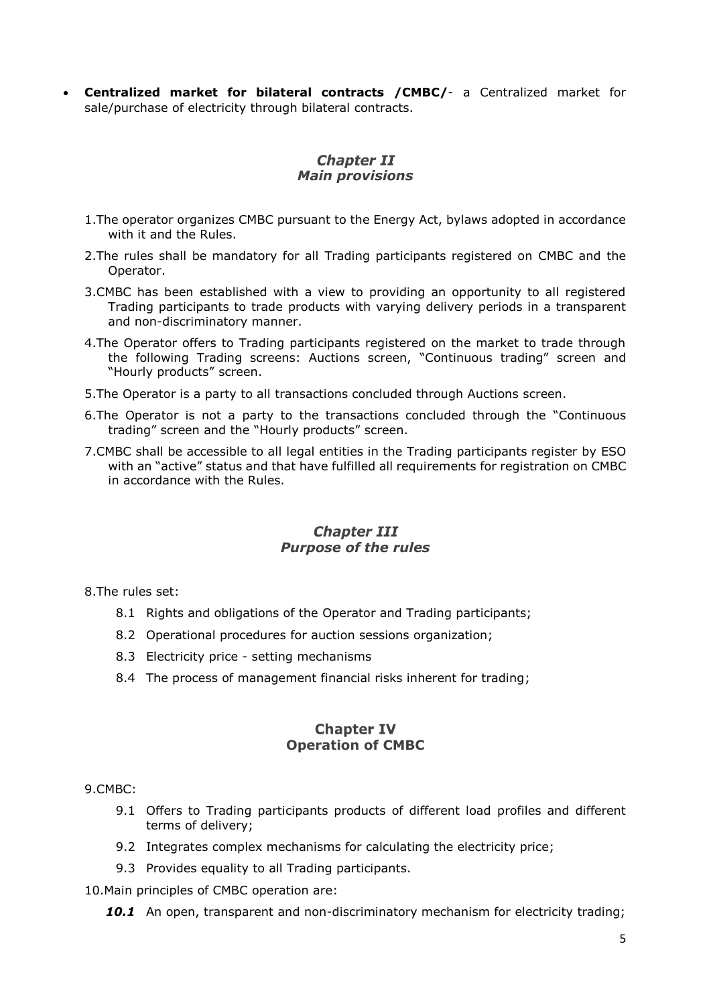**Centralized market for bilateral contracts /CMBC/**- a Centralized market for sale/purchase of electricity through bilateral contracts.

# **Chapter II** *Main provisions*

- <span id="page-4-0"></span>1.The operator organizes CMBC pursuant to the Energy Act, bylaws adopted in accordance with it and the Rules.
- 2.The rules shall be mandatory for all Trading participants registered on CMBC and the Operator.
- 3.CMBC has been established with a view to providing an opportunity to all registered Trading participants to trade products with varying delivery periods in a transparent and non-discriminatory manner.
- 4.The Operator offers to Trading participants registered on the market to trade through the following Trading screens: Auctions screen, "Continuous trading" screen and "Hourly products" screen.
- 5.The Operator is a party to all transactions concluded through Auctions screen.
- 6.The Operator is not a party to the transactions concluded through the "Continuous trading" screen and the "Hourly products" screen.
- 7.CMBC shall be accessible to all legal entities in the Trading participants register by ESO with an "active" status and that have fulfilled all requirements for registration on CMBC in accordance with the Rules.

#### **Chapter III** *Purpose of the rules*

<span id="page-4-1"></span>8.The rules set:

- 8.1 Rights and obligations of the Operator and Trading participants;
- 8.2 Operational procedures for auction sessions organization;
- 8.3 Electricity price setting mechanisms
- 8.4 The process of management financial risks inherent for trading;

#### **Chapter IV Operation of CMBC**

#### <span id="page-4-2"></span>9.CMBC:

- 9.1 Offers to Trading participants products of different load profiles and different terms of delivery;
- 9.2 Integrates complex mechanisms for calculating the electricity price;
- 9.3 Provides equality to all Trading participants.

10.Main principles of CMBC operation are:

**10.1** An open, transparent and non-discriminatory mechanism for electricity trading;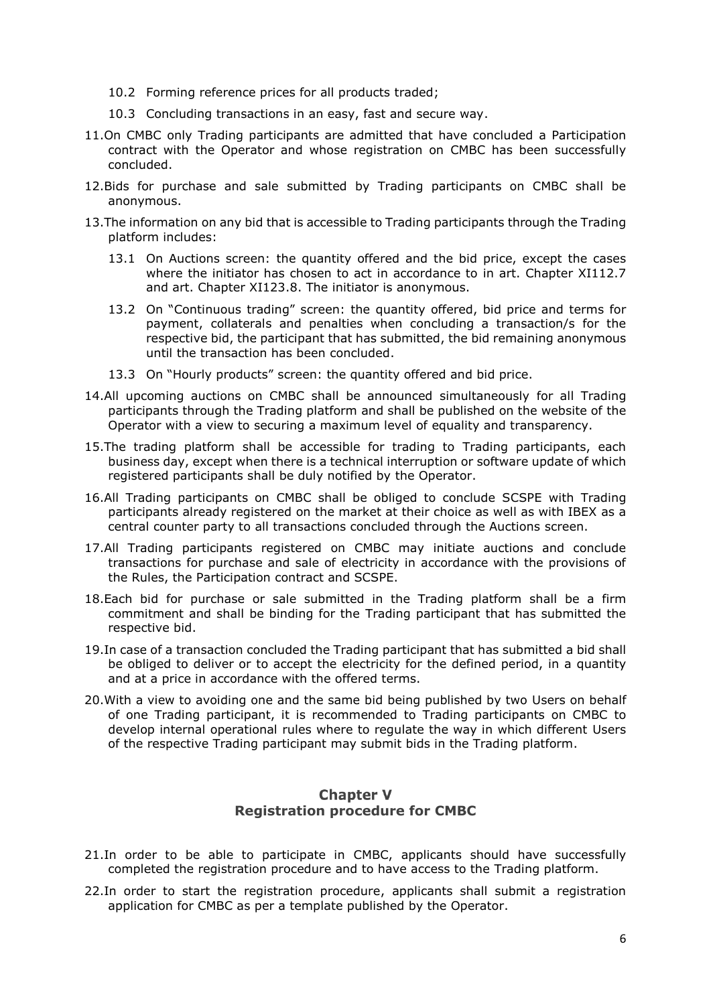- 10.2 Forming reference prices for all products traded;
- 10.3 Concluding transactions in an easy, fast and secure way.
- 11.On CMBC only Trading participants are admitted that have concluded a Participation contract with the Operator and whose registration on CMBC has been successfully concluded.
- 12.Bids for purchase and sale submitted by Trading participants on CMBC shall be anonymous.
- 13.The information on any bid that is accessible to Trading participants through the Trading platform includes:
	- 13.1 On Auctions screen: the quantity offered and the bid price, except the cases where the initiator has chosen to act in accordance to in art. [Chapter XI112.7](#page-16-0) and art. [Chapter XI123.8.](#page-17-0) The initiator is anonymous.
	- 13.2 On "Continuous trading" screen: the quantity offered, bid price and terms for payment, collaterals and penalties when concluding a transaction/s for the respective bid, the participant that has submitted, the bid remaining anonymous until the transaction has been concluded.
	- 13.3 On "Hourly products" screen: the quantity offered and bid price.
- 14.All upcoming auctions on CMBC shall be announced simultaneously for all Trading participants through the Trading platform and shall be published on the website of the Operator with a view to securing a maximum level of equality and transparency.
- <span id="page-5-1"></span>15.The trading platform shall be accessible for trading to Trading participants, each business day, except when there is a technical interruption or software update of which registered participants shall be duly notified by the Operator.
- 16.All Trading participants on CMBC shall be obliged to conclude SCSPE with Trading participants already registered on the market at their choice as well as with IBEX as a central counter party to all transactions concluded through the Auctions screen.
- 17.All Trading participants registered on CMBC may initiate auctions and conclude transactions for purchase and sale of electricity in accordance with the provisions of the Rules, the Participation contract and SCSPE.
- 18.Each bid for purchase or sale submitted in the Trading platform shall be a firm commitment and shall be binding for the Trading participant that has submitted the respective bid.
- 19.In case of a transaction concluded the Trading participant that has submitted a bid shall be obliged to deliver or to accept the electricity for the defined period, in a quantity and at a price in accordance with the offered terms.
- 20.With a view to avoiding one and the same bid being published by two Users on behalf of one Trading participant, it is recommended to Trading participants on CMBC to develop internal operational rules where to regulate the way in which different Users of the respective Trading participant may submit bids in the Trading platform.

# **Chapter V Registration procedure for CMBC**

- <span id="page-5-0"></span>21.In order to be able to participate in CMBC, applicants should have successfully completed the registration procedure and to have access to the Trading platform.
- 22.In order to start the registration procedure, applicants shall submit a registration application for CMBC as per a template published by the Operator.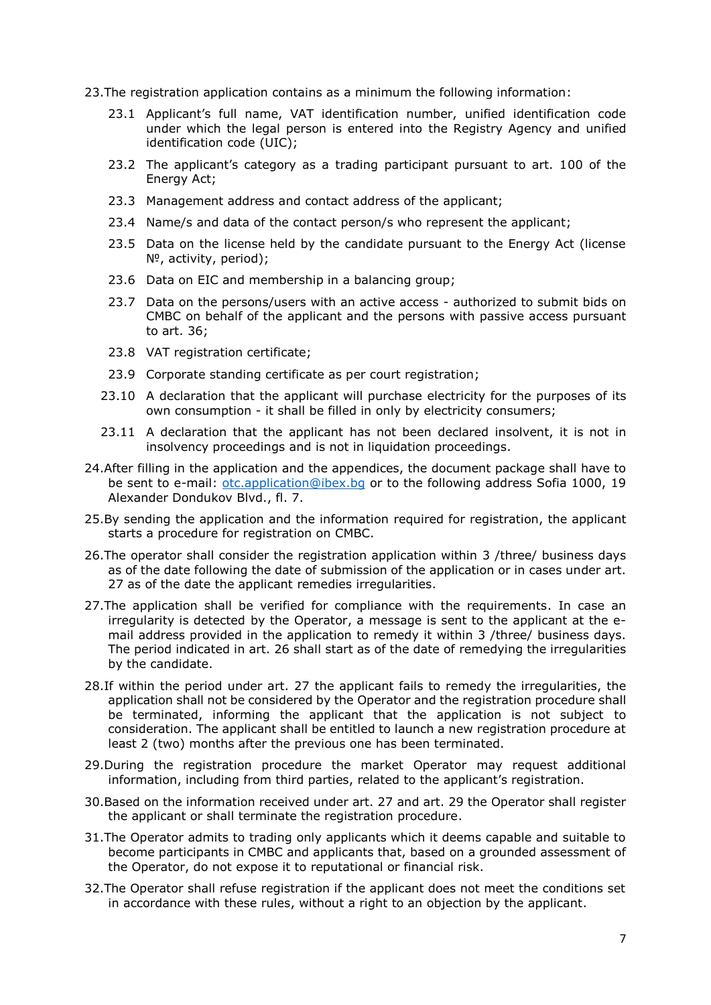23.The registration application contains as a minimum the following information:

- 23.1 Applicant's full name, VAT identification number, unified identification code under which the legal person is entered into the Registry Agency and unified identification code (UIC);
- 23.2 The applicant's category as a trading participant pursuant to art. 100 of the Energy Act;
- 23.3 Management address and contact address of the applicant;
- 23.4 Name/s and data of the contact person/s who represent the applicant;
- 23.5 Data on the license held by the candidate pursuant to the Energy Act (license №, activity, period);
- 23.6 Data on EIC and membership in a balancing group;
- <span id="page-6-3"></span>23.7 Data on the persons/users with an active access - authorized to submit bids on CMBC on behalf of the applicant and the persons with passive access pursuant to art. 36;
- 23.8 VAT registration certificate;
- 23.9 Corporate standing certificate as per court registration;
- 23.10 A declaration that the applicant will purchase electricity for the purposes of its own consumption - it shall be filled in only by electricity consumers;
- 23.11 A declaration that the applicant has not been declared insolvent, it is not in insolvency proceedings and is not in liquidation proceedings.
- 24.After filling in the application and the appendices, the document package shall have to be sent to e-mail: [otc.application@ibex.bg](mailto:otc.application@ibex.bg) or to the following address Sofia 1000, 19 Alexander Dondukov Blvd., fl. 7.
- 25.By sending the application and the information required for registration, the applicant starts a procedure for registration on CMBC.
- 26.The operator shall consider the registration application within 3 /three/ business days as of the date following the date of submission of the application or in cases under art. 27 as of the date the applicant remedies irregularities.
- <span id="page-6-0"></span>27.The application shall be verified for compliance with the requirements. In case an irregularity is detected by the Operator, a message is sent to the applicant at the email address provided in the application to remedy it within 3 /three/ business days. The period indicated in art. 26 shall start as of the date of remedying the irregularities by the candidate.
- 28.If within the period under art. 27 the applicant fails to remedy the irregularities, the application shall not be considered by the Operator and the registration procedure shall be terminated, informing the applicant that the application is not subject to consideration. The applicant shall be entitled to launch a new registration procedure at least 2 (two) months after the previous one has been terminated.
- <span id="page-6-1"></span>29.During the registration procedure the market Operator may request additional information, including from third parties, related to the applicant's registration.
- 30.Based on the information received under art. [27](#page-6-0) and art. [29](#page-6-1) the Operator shall register the applicant or shall terminate the registration procedure.
- 31.The Operator admits to trading only applicants which it deems capable and suitable to become participants in CMBC and applicants that, based on a grounded assessment of the Operator, do not expose it to reputational or financial risk.
- <span id="page-6-2"></span>32.The Operator shall refuse registration if the applicant does not meet the conditions set in accordance with these rules, without a right to an objection by the applicant.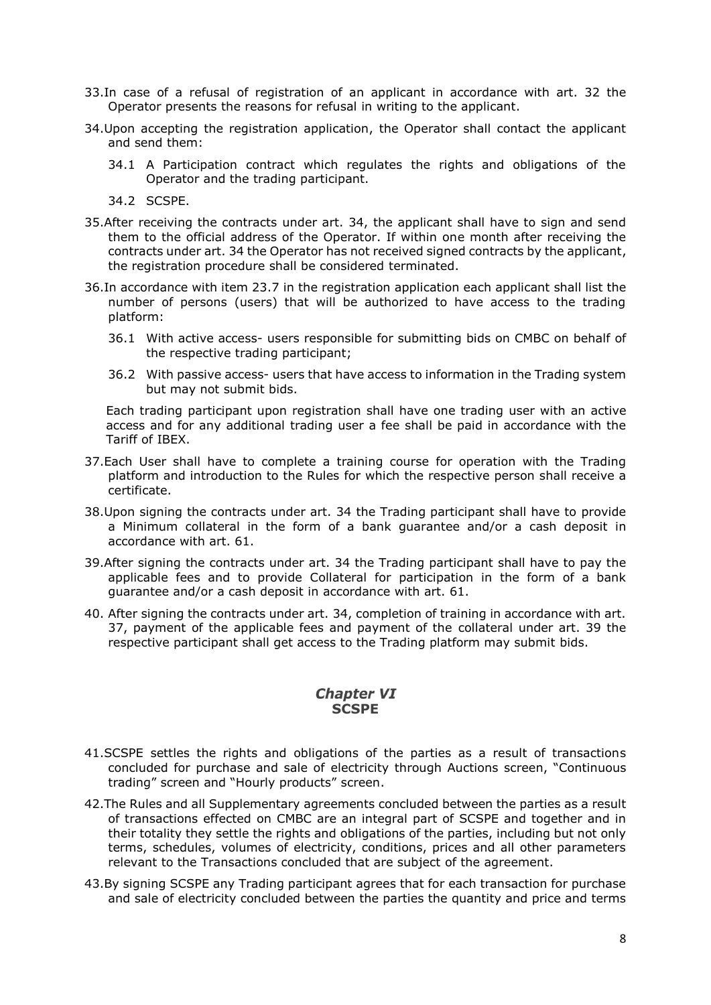- 33.In case of a refusal of registration of an applicant in accordance with art. [32](#page-6-2) the Operator presents the reasons for refusal in writing to the applicant.
- <span id="page-7-1"></span>34.Upon accepting the registration application, the Operator shall contact the applicant and send them:
	- 34.1 A Participation contract which regulates the rights and obligations of the Operator and the trading participant.
	- 34.2 SCSPE.
- 35.After receiving the contracts under art. [34,](#page-7-1) the applicant shall have to sign and send them to the official address of the Operator. If within one month after receiving the contracts under art. [34](#page-7-1) the Operator has not received signed contracts by the applicant, the registration procedure shall be considered terminated.
- 36.In accordance with item 23.7 in the registration application each applicant shall list the number of persons (users) that will be authorized to have access to the trading platform:
	- 36.1 With active access- users responsible for submitting bids on CMBC on behalf of the respective trading participant;
	- 36.2 With passive access- users that have access to information in the Trading system but may not submit bids.

Each trading participant upon registration shall have one trading user with an active access and for any additional trading user a fee shall be paid in accordance with the Tariff of IBEX.

- <span id="page-7-2"></span>37.Each User shall have to complete a training course for operation with the Trading platform and introduction to the Rules for which the respective person shall receive a certificate.
- 38.Upon signing the contracts under art. [34](#page-7-1) the Trading participant shall have to provide a Minimum collateral in the form of a bank guarantee and/or a cash deposit in accordance with art. [61.](#page-9-2)
- <span id="page-7-3"></span>39.After signing the contracts under art. [34](#page-7-1) the Trading participant shall have to pay the applicable fees and to provide Collateral for participation in the form of a bank guarantee and/or a cash deposit in accordance with art. [61.](#page-9-2)
- 40. After signing the contracts under art. [34,](#page-7-1) completion of training in accordance with art. [37,](#page-7-2) payment of the applicable fees and payment of the collateral under art. [39](#page-7-3) the respective participant shall get access to the Trading platform may submit bids.

# **Chapter VI SCSPE**

- <span id="page-7-0"></span>41.SCSPE settles the rights and obligations of the parties as a result of transactions concluded for purchase and sale of electricity through Auctions screen, "Continuous trading" screen and "Hourly products" screen.
- 42.The Rules and all Supplementary agreements concluded between the parties as a result of transactions effected on CMBC are an integral part of SCSPE and together and in their totality they settle the rights and obligations of the parties, including but not only terms, schedules, volumes of electricity, conditions, prices and all other parameters relevant to the Transactions concluded that are subject of the agreement.
- 43.By signing SCSPE any Trading participant agrees that for each transaction for purchase and sale of electricity concluded between the parties the quantity and price and terms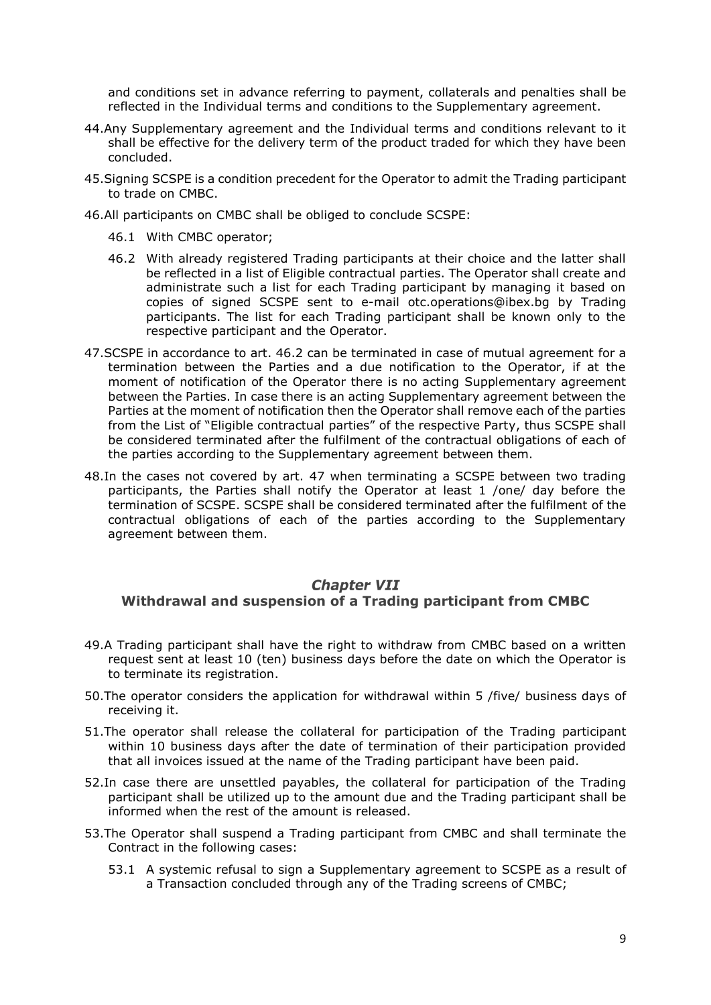and conditions set in advance referring to payment, collaterals and penalties shall be reflected in the Individual terms and conditions to the Supplementary agreement.

- 44.Any Supplementary agreement and the Individual terms and conditions relevant to it shall be effective for the delivery term of the product traded for which they have been concluded.
- 45.Signing SCSPE is a condition precedent for the Operator to admit the Trading participant to trade on CMBC.
- <span id="page-8-1"></span>46.All participants on CMBC shall be obliged to conclude SCSPE:
	- 46.1 With CMBC operator;
	- 46.2 With already registered Trading participants at their choice and the latter shall be reflected in a list of Eligible contractual parties. The Operator shall create and administrate such a list for each Trading participant by managing it based on copies of signed SCSPE sent to e-mail otc.operations@ibex.bg by Trading participants. The list for each Trading participant shall be known only to the respective participant and the Operator.
- <span id="page-8-2"></span>47.SCSPE in accordance to art. [46.2](#page-8-1) can be terminated in case of mutual agreement for a termination between the Parties and a due notification to the Operator, if at the moment of notification of the Operator there is no acting Supplementary agreement between the Parties. In case there is an acting Supplementary agreement between the Parties at the moment of notification then the Operator shall remove each of the parties from the List of "Eligible contractual parties" of the respective Party, thus SCSPE shall be considered terminated after the fulfilment of the contractual obligations of each of the parties according to the Supplementary agreement between them.
- 48.In the cases not covered by art. [47](#page-8-2) when terminating a SCSPE between two trading participants, the Parties shall notify the Operator at least 1 /one/ day before the termination of SCSPE. SCSPE shall be considered terminated after the fulfilment of the contractual obligations of each of the parties according to the Supplementary agreement between them.

# <span id="page-8-0"></span>**Chapter VII Withdrawal and suspension of a Trading participant from CMBC**

- 49.A Trading participant shall have the right to withdraw from CMBC based on a written request sent at least 10 (ten) business days before the date on which the Operator is to terminate its registration.
- 50.The operator considers the application for withdrawal within 5 /five/ business days of receiving it.
- 51.The operator shall release the collateral for participation of the Trading participant within 10 business days after the date of termination of their participation provided that all invoices issued at the name of the Trading participant have been paid.
- 52.In case there are unsettled payables, the collateral for participation of the Trading participant shall be utilized up to the amount due and the Trading participant shall be informed when the rest of the amount is released.
- <span id="page-8-3"></span>53.The Operator shall suspend a Trading participant from CMBC and shall terminate the Contract in the following cases:
	- 53.1 A systemic refusal to sign a Supplementary agreement to SCSPE as a result of a Transaction concluded through any of the Trading screens of CMBC;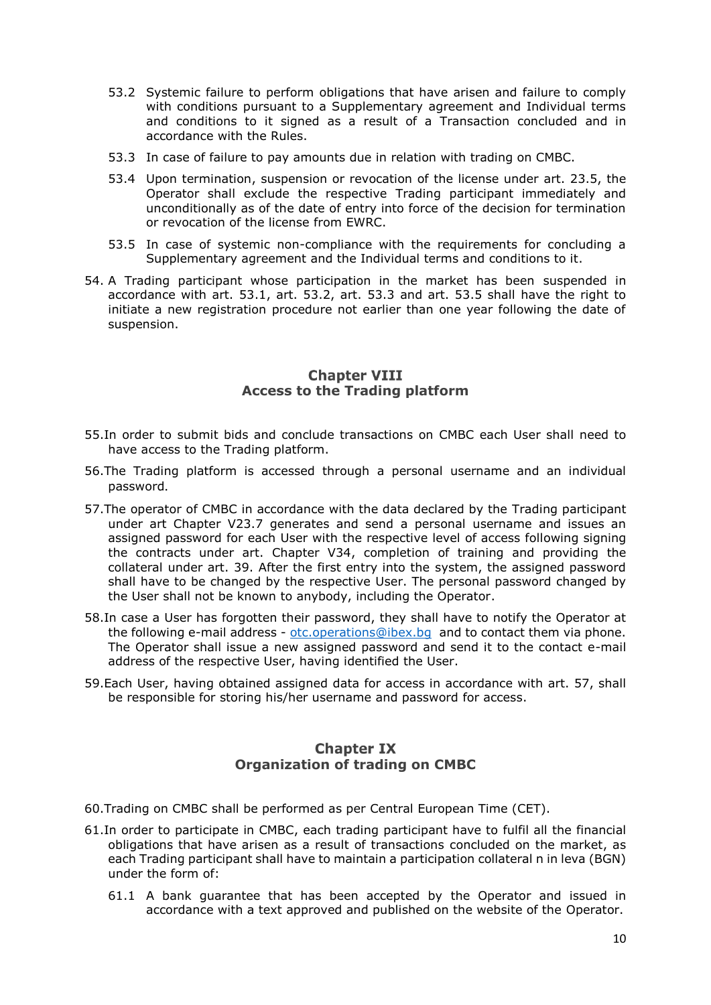- <span id="page-9-3"></span>53.2 Systemic failure to perform obligations that have arisen and failure to comply with conditions pursuant to a Supplementary agreement and Individual terms and conditions to it signed as a result of a Transaction concluded and in accordance with the Rules.
- <span id="page-9-4"></span>53.3 In case of failure to pay amounts due in relation with trading on CMBC.
- 53.4 Upon termination, suspension or revocation of the license under art. 23.5, the Operator shall exclude the respective Trading participant immediately and unconditionally as of the date of entry into force of the decision for termination or revocation of the license from EWRC.
- <span id="page-9-5"></span>53.5 In case of systemic non-compliance with the requirements for concluding a Supplementary agreement and the Individual terms and conditions to it.
- 54. A Trading participant whose participation in the market has been suspended in accordance with art. [53.1,](#page-8-3) art. [53.2,](#page-9-3) art. [53.3](#page-9-4) and art. [53.5](#page-9-5) shall have the right to initiate a new registration procedure not earlier than one year following the date of suspension.

# **Chapter VIII Access to the Trading platform**

- <span id="page-9-0"></span>55.In order to submit bids and conclude transactions on CMBC each User shall need to have access to the Trading platform.
- 56.The Trading platform is accessed through a personal username and an individual password.
- <span id="page-9-6"></span>57.The operator of CMBC in accordance with the data declared by the Trading participant under art [Chapter V23.7](#page-6-3) generates and send a personal username and issues an assigned password for each User with the respective level of access following signing the contracts under art. [Chapter V34,](#page-7-1) completion of training and providing the collateral under art. [39.](#page-7-3) After the first entry into the system, the assigned password shall have to be changed by the respective User. The personal password changed by the User shall not be known to anybody, including the Operator.
- 58.In case a User has forgotten their password, they shall have to notify the Operator at the following e-mail address - otc.operations@ibex.bq and to contact them via phone. The Operator shall issue a new assigned password and send it to the contact e-mail address of the respective User, having identified the User.
- 59.Each User, having obtained assigned data for access in accordance with art. [57,](#page-9-6) shall be responsible for storing his/her username and password for access.

# **Chapter IX Organization of trading on CMBC**

- <span id="page-9-1"></span>60.Trading on CMBC shall be performed as per Central European Time (CET).
- <span id="page-9-2"></span>61.In order to participate in CMBC, each trading participant have to fulfil all the financial obligations that have arisen as a result of transactions concluded on the market, as each Trading participant shall have to maintain a participation collateral n in leva (BGN) under the form of:
	- 61.1 A bank guarantee that has been accepted by the Operator and issued in accordance with a text approved and published on the website of the Operator.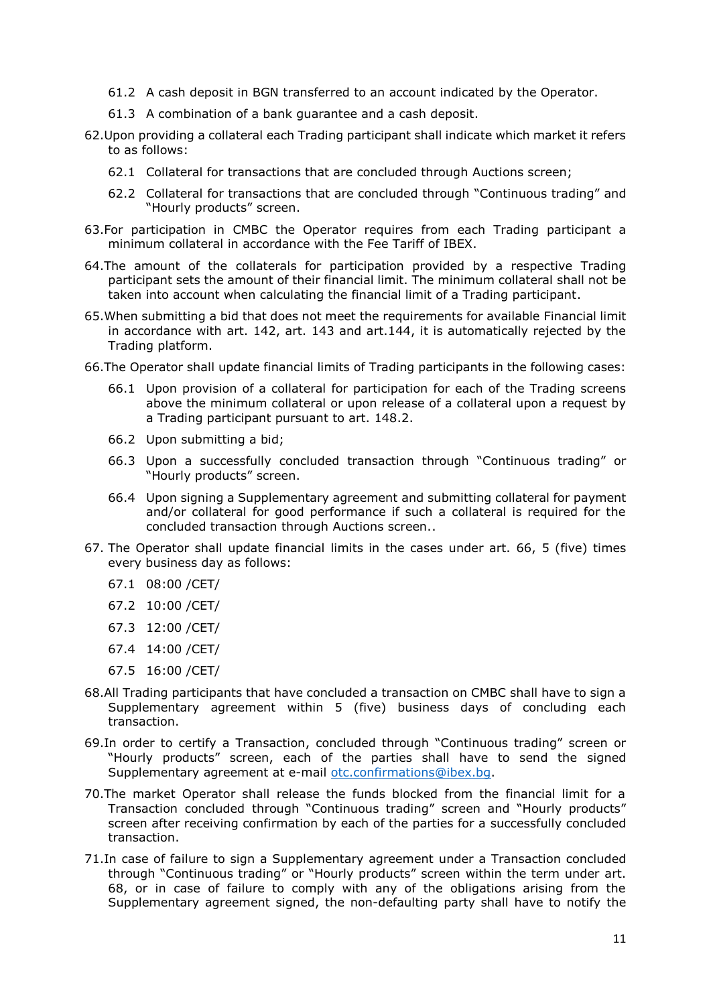- 61.2 A cash deposit in BGN transferred to an account indicated by the Operator.
- 61.3 A combination of a bank guarantee and a cash deposit.
- 62.Upon providing a collateral each Trading participant shall indicate which market it refers to as follows:
	- 62.1 Collateral for transactions that are concluded through Auctions screen;
	- 62.2 Collateral for transactions that are concluded through "Continuous trading" and "Hourly products" screen.
- 63.For participation in CMBC the Operator requires from each Trading participant a minimum collateral in accordance with the Fee Tariff of IBEX.
- 64.The amount of the collaterals for participation provided by a respective Trading participant sets the amount of their financial limit. The minimum collateral shall not be taken into account when calculating the financial limit of a Trading participant.
- 65.When submitting a bid that does not meet the requirements for available Financial limit in accordance with art. [142,](#page-19-0) art. [143](#page-19-1) and art[.144,](#page-19-2) it is automatically rejected by the Trading platform.
- <span id="page-10-0"></span>66.The Operator shall update financial limits of Trading participants in the following cases:
	- 66.1 Upon provision of a collateral for participation for each of the Trading screens above the minimum collateral or upon release of a collateral upon a request by a Trading participant pursuant to art. [148.2.](#page-20-0)
	- 66.2 Upon submitting a bid;
	- 66.3 Upon a successfully concluded transaction through "Continuous trading" or "Hourly products" screen.
	- 66.4 Upon signing a Supplementary agreement and submitting collateral for payment and/or collateral for good performance if such a collateral is required for the concluded transaction through Auctions screen..
- <span id="page-10-3"></span>67. The Operator shall update financial limits in the cases under art. [66,](#page-10-0) 5 (five) times every business day as follows:
	- 67.1 08:00 /CET/
	- 67.2 10:00 /CET/
	- 67.3 12:00 /CET/
	- 67.4 14:00 /CET/
	- 67.5 16:00 /CET/
- <span id="page-10-1"></span>68.All Trading participants that have concluded a transaction on CMBC shall have to sign a Supplementary agreement within 5 (five) business days of concluding each transaction.
- 69.In order to certify a Transaction, concluded through "Continuous trading" screen or "Hourly products" screen, each of the parties shall have to send the signed Supplementary agreement at e-mail [otc.confirmations@ibex.bg.](mailto:otc.confirmations@ibex.bg)
- 70.The market Operator shall release the funds blocked from the financial limit for a Transaction concluded through "Continuous trading" screen and "Hourly products" screen after receiving confirmation by each of the parties for a successfully concluded transaction.
- <span id="page-10-2"></span>71.In case of failure to sign a Supplementary agreement under a Transaction concluded through "Continuous trading" or "Hourly products" screen within the term under art. [68,](#page-10-1) or in case of failure to comply with any of the obligations arising from the Supplementary agreement signed, the non-defaulting party shall have to notify the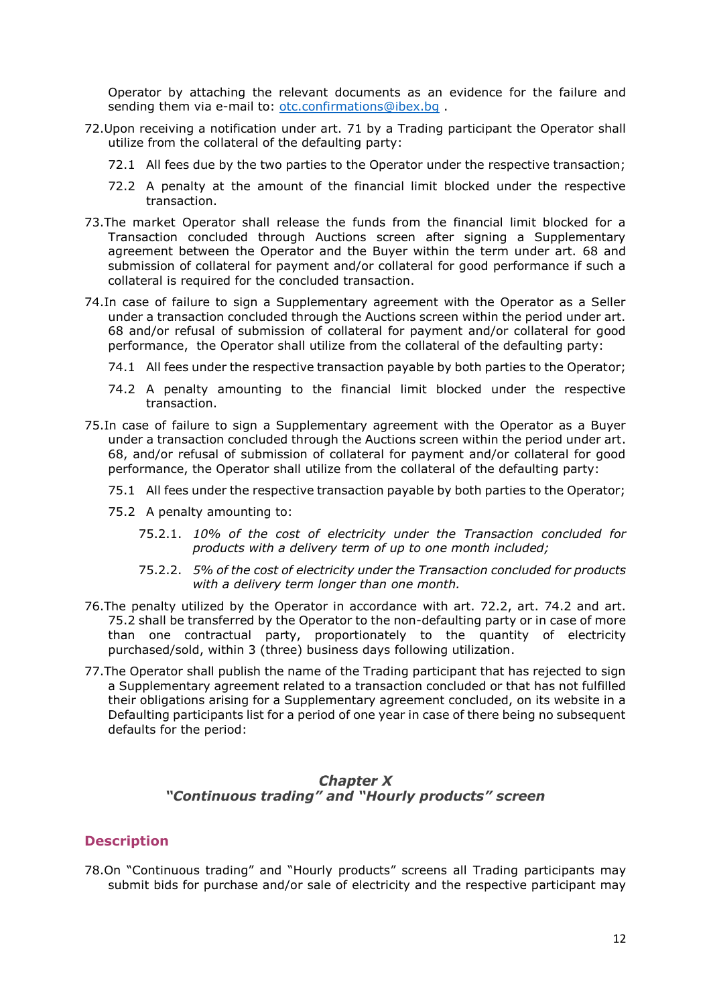Operator by attaching the relevant documents as an evidence for the failure and sending them via e-mail to: [otc.confirmations@ibex.bg](mailto:otc.confirmations@ibex.bg).

- 72.Upon receiving a notification under art. [71](#page-10-2) by a Trading participant the Operator shall utilize from the collateral of the defaulting party:
	- 72.1 All fees due by the two parties to the Operator under the respective transaction;
	- 72.2 A penalty at the amount of the financial limit blocked under the respective transaction.
- <span id="page-11-1"></span>73.The market Operator shall release the funds from the financial limit blocked for a Transaction concluded through Auctions screen after signing a Supplementary agreement between the Operator and the Buyer within the term under art. [68](#page-10-1) and submission of collateral for payment and/or collateral for good performance if such a collateral is required for the concluded transaction.
- 74.In case of failure to sign a Supplementary agreement with the Operator as a Seller under a transaction concluded through the Auctions screen within the period under art. [68](#page-10-1) and/or refusal of submission of collateral for payment and/or collateral for good performance, the Operator shall utilize from the collateral of the defaulting party:
	- 74.1 All fees under the respective transaction payable by both parties to the Operator;
	- 74.2 A penalty amounting to the financial limit blocked under the respective transaction.
- <span id="page-11-3"></span><span id="page-11-2"></span>75.In case of failure to sign a Supplementary agreement with the Operator as a Buyer under a transaction concluded through the Auctions screen within the period under art. [68,](#page-10-1) and/or refusal of submission of collateral for payment and/or collateral for good performance, the Operator shall utilize from the collateral of the defaulting party:
	- 75.1 All fees under the respective transaction payable by both parties to the Operator;
	- 75.2 A penalty amounting to:
		- 75.2.1. *10% of the cost of electricity under the Transaction concluded for products with a delivery term of up to one month included;*
		- 75.2.2. *5% of the cost of electricity under the Transaction concluded for products with a delivery term longer than one month.*
- 76.The penalty utilized by the Operator in accordance with art. [72.2,](#page-11-1) art. [74.2](#page-11-2) and art. [75.2](#page-11-3) shall be transferred by the Operator to the non-defaulting party or in case of more than one contractual party, proportionately to the quantity of electricity purchased/sold, within 3 (three) business days following utilization.
- 77.The Operator shall publish the name of the Trading participant that has rejected to sign a Supplementary agreement related to a transaction concluded or that has not fulfilled their obligations arising for a Supplementary agreement concluded, on its website in a Defaulting participants list for a period of one year in case of there being no subsequent defaults for the period:

# **Chapter X** *"Continuous trading" and "Hourly products" screen*

#### <span id="page-11-0"></span>**Description**

78.On "Continuous trading" and "Hourly products" screens all Trading participants may submit bids for purchase and/or sale of electricity and the respective participant may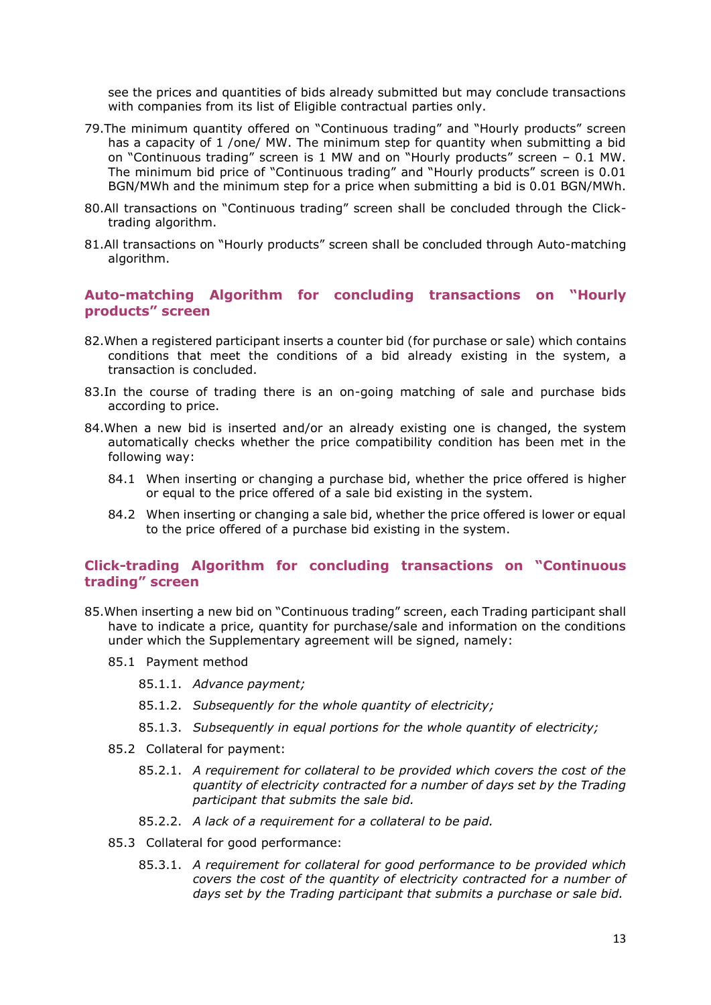see the prices and quantities of bids already submitted but may conclude transactions with companies from its list of Eligible contractual parties only.

- 79.The minimum quantity offered on "Continuous trading" and "Hourly products" screen has a capacity of 1 /one/ MW. The minimum step for quantity when submitting a bid on "Continuous trading" screen is 1 MW and on "Hourly products" screen – 0.1 MW. The minimum bid price of "Continuous trading" and "Hourly products" screen is 0.01 BGN/MWh and the minimum step for a price when submitting a bid is 0.01 BGN/MWh.
- 80.All transactions on "Continuous trading" screen shall be concluded through the Clicktrading algorithm.
- 81.All transactions on "Hourly products" screen shall be concluded through Auto-matching algorithm.

#### **Auto-matching Algorithm for concluding transactions on "Hourly products" screen**

- 82.When a registered participant inserts a counter bid (for purchase or sale) which contains conditions that meet the conditions of a bid already existing in the system, a transaction is concluded.
- 83.In the course of trading there is an on-going matching of sale and purchase bids according to price.
- 84.When a new bid is inserted and/or an already existing one is changed, the system automatically checks whether the price compatibility condition has been met in the following way:
	- 84.1 When inserting or changing a purchase bid, whether the price offered is higher or equal to the price offered of a sale bid existing in the system.
	- 84.2 When inserting or changing a sale bid, whether the price offered is lower or equal to the price offered of a purchase bid existing in the system.

#### **Click-trading Algorithm for concluding transactions on "Continuous trading" screen**

- 85.When inserting a new bid on "Continuous trading" screen, each Trading participant shall have to indicate a price, quantity for purchase/sale and information on the conditions under which the Supplementary agreement will be signed, namely:
	- 85.1 Payment method
		- 85.1.1. *Advance payment;*
		- 85.1.2. *Subsequently for the whole quantity of electricity;*
		- 85.1.3. *Subsequently in equal portions for the whole quantity of electricity;*
	- 85.2 Collateral for payment:
		- 85.2.1. *A requirement for collateral to be provided which covers the cost of the quantity of electricity contracted for a number of days set by the Trading participant that submits the sale bid.*
		- 85.2.2. *A lack of a requirement for a collateral to be paid.*
	- 85.3 Collateral for good performance:
		- 85.3.1. *A requirement for collateral for good performance to be provided which covers the cost of the quantity of electricity contracted for a number of days set by the Trading participant that submits a purchase or sale bid.*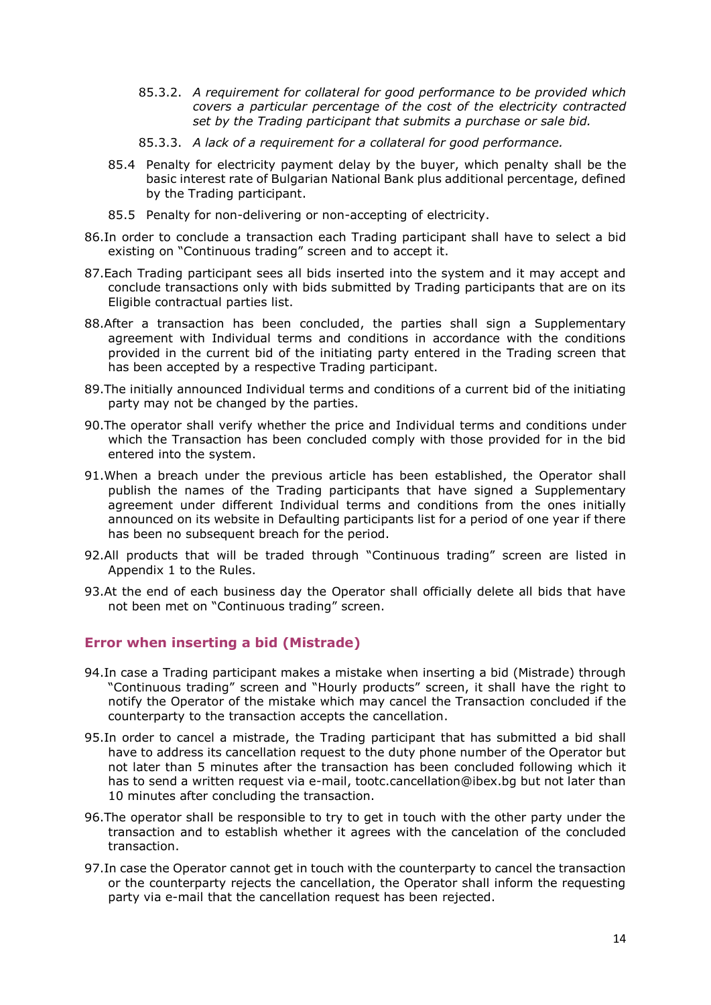- 85.3.2. *A requirement for collateral for good performance to be provided which covers a particular percentage of the cost of the electricity contracted set by the Trading participant that submits a purchase or sale bid.*
- 85.3.3. *A lack of a requirement for a collateral for good performance.*
- 85.4 Penalty for electricity payment delay by the buyer, which penalty shall be the basic interest rate of Bulgarian National Bank plus additional percentage, defined by the Trading participant.
- 85.5 Penalty for non-delivering or non-accepting of electricity.
- 86.In order to conclude a transaction each Trading participant shall have to select a bid existing on "Continuous trading" screen and to accept it.
- 87.Each Trading participant sees all bids inserted into the system and it may accept and conclude transactions only with bids submitted by Trading participants that are on its Eligible contractual parties list.
- 88.After a transaction has been concluded, the parties shall sign a Supplementary agreement with Individual terms and conditions in accordance with the conditions provided in the current bid of the initiating party entered in the Trading screen that has been accepted by a respective Trading participant.
- 89.The initially announced Individual terms and conditions of a current bid of the initiating party may not be changed by the parties.
- 90.The operator shall verify whether the price and Individual terms and conditions under which the Transaction has been concluded comply with those provided for in the bid entered into the system.
- 91.When a breach under the previous article has been established, the Operator shall publish the names of the Trading participants that have signed a Supplementary agreement under different Individual terms and conditions from the ones initially announced on its website in Defaulting participants list for a period of one year if there has been no subsequent breach for the period.
- 92.All products that will be traded through "Continuous trading" screen are listed in Appendix 1 to the Rules.
- 93.At the end of each business day the Operator shall officially delete all bids that have not been met on "Continuous trading" screen.

# **Error when inserting a bid (Mistrade)**

- 94.In case a Trading participant makes a mistake when inserting a bid (Mistrade) through "Continuous trading" screen and "Hourly products" screen, it shall have the right to notify the Operator of the mistake which may cancel the Transaction concluded if the counterparty to the transaction accepts the cancellation.
- 95.In order to cancel a mistrade, the Trading participant that has submitted a bid shall have to address its cancellation request to the duty phone number of the Operator but not later than 5 minutes after the transaction has been concluded following which it has to send a written request via e-mail, t[ootc.cancellation@ibex.bg](mailto:otc.cancellation@ibex.bg) but not later than 10 minutes after concluding the transaction.
- 96.The operator shall be responsible to try to get in touch with the other party under the transaction and to establish whether it agrees with the cancelation of the concluded transaction.
- 97.In case the Operator cannot get in touch with the counterparty to cancel the transaction or the counterparty rejects the cancellation, the Operator shall inform the requesting party via e-mail that the cancellation request has been rejected.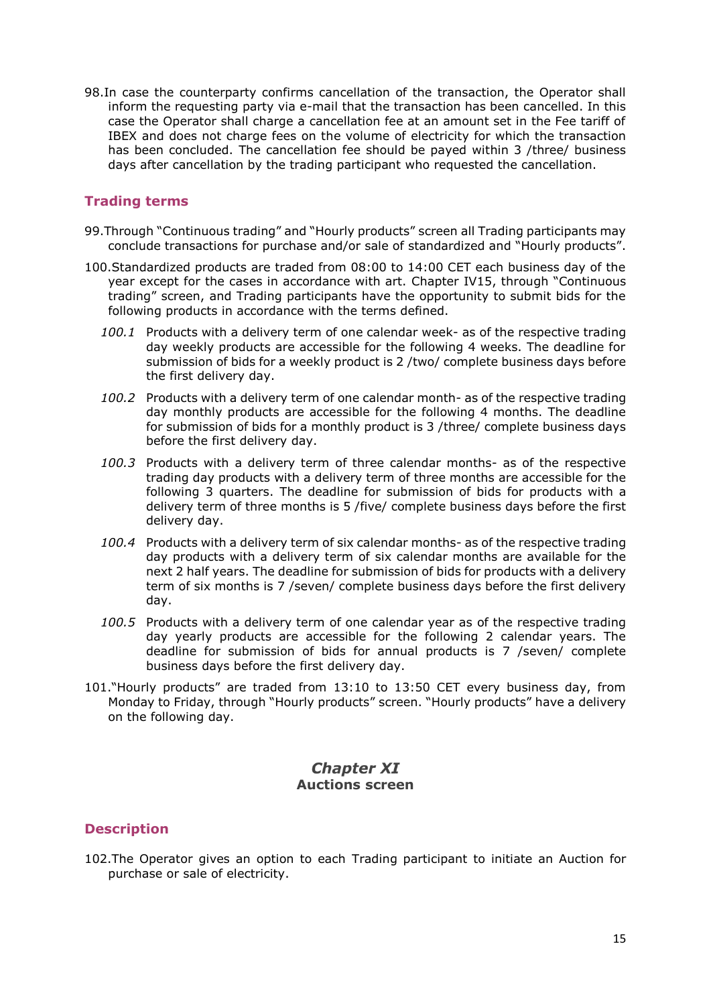98.In case the counterparty confirms cancellation of the transaction, the Operator shall inform the requesting party via e-mail that the transaction has been cancelled. In this case the Operator shall charge a cancellation fee at an amount set in the Fee tariff of IBEX and does not charge fees on the volume of electricity for which the transaction has been concluded. The cancellation fee should be payed within 3 /three/ business days after cancellation by the trading participant who requested the cancellation.

#### **Trading terms**

- 99.Through "Continuous trading" and "Hourly products" screen all Trading participants may conclude transactions for purchase and/or sale of standardized and "Hourly products".
- 100.Standardized products are traded from 08:00 to 14:00 CET each business day of the year except for the cases in accordance with art. [Chapter IV15,](#page-5-1) through "Continuous trading" screen, and Trading participants have the opportunity to submit bids for the following products in accordance with the terms defined.
	- *100.1* Products with a delivery term of one calendar week- as of the respective trading day weekly products are accessible for the following 4 weeks. The deadline for submission of bids for a weekly product is 2 /two/ complete business days before the first delivery day.
	- *100.2* Products with a delivery term of one calendar month- as of the respective trading day monthly products are accessible for the following 4 months. The deadline for submission of bids for a monthly product is 3 /three/ complete business days before the first delivery day.
	- *100.3* Products with a delivery term of three calendar months- as of the respective trading day products with a delivery term of three months are accessible for the following 3 quarters. The deadline for submission of bids for products with a delivery term of three months is 5 /five/ complete business days before the first delivery day.
	- *100.4* Products with a delivery term of six calendar months- as of the respective trading day products with a delivery term of six calendar months are available for the next 2 half years. The deadline for submission of bids for products with a delivery term of six months is 7 /seven/ complete business days before the first delivery day.
	- *100.5* Products with a delivery term of one calendar year as of the respective trading day yearly products are accessible for the following 2 calendar years. The deadline for submission of bids for annual products is 7 /seven/ complete business days before the first delivery day.
- 101."Hourly products" are traded from 13:10 to 13:50 CET every business day, from Monday to Friday, through "Hourly products" screen. "Hourly products" have a delivery on the following day.

# **Chapter XI Auctions screen**

#### <span id="page-14-0"></span>**Description**

102.The Operator gives an option to each Trading participant to initiate an Auction for purchase or sale of electricity.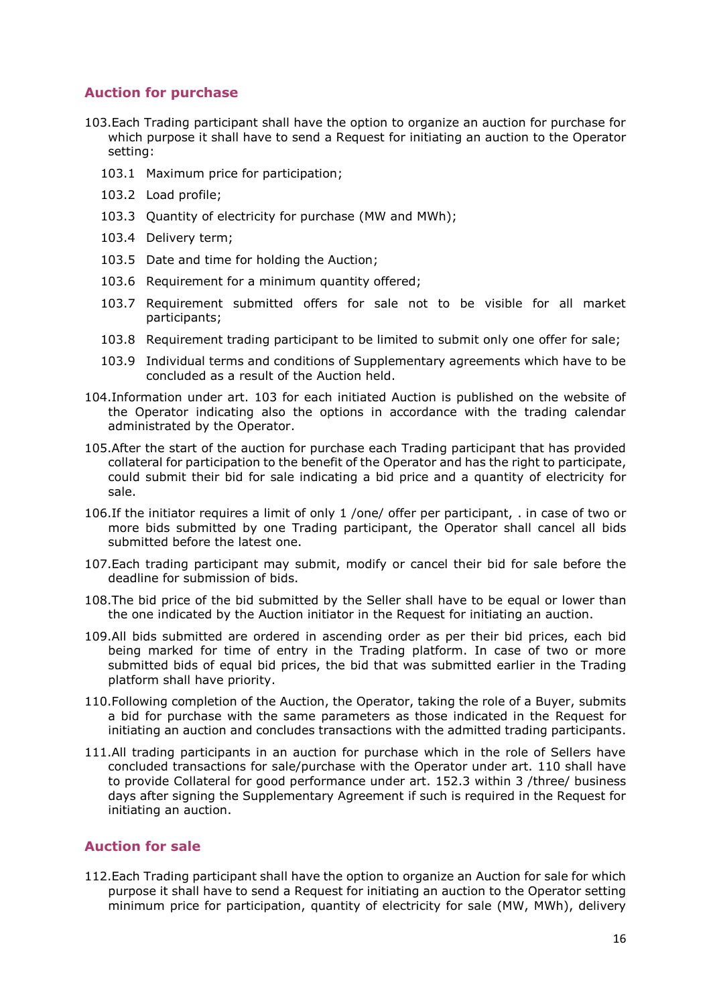# **Auction for purchase**

- <span id="page-15-0"></span>103.Each Trading participant shall have the option to organize an auction for purchase for which purpose it shall have to send a Request for initiating an auction to the Operator setting:
	- 103.1 Maximum price for participation;
	- 103.2 Load profile;
	- 103.3 Quantity of electricity for purchase (MW and MWh);
	- 103.4 Delivery term;
	- 103.5 Date and time for holding the Auction;
	- 103.6 Requirement for a minimum quantity offered;
	- 103.7 Requirement submitted offers for sale not to be visible for all market participants;
	- 103.8 Requirement trading participant to be limited to submit only one offer for sale;
	- 103.9 Individual terms and conditions of Supplementary agreements which have to be concluded as a result of the Auction held.
- 104.Information under art. [103](#page-15-0) for each initiated Auction is published on the website of the Operator indicating also the options in accordance with the trading calendar administrated by the Operator.
- 105.After the start of the auction for purchase each Trading participant that has provided collateral for participation to the benefit of the Operator and has the right to participate, could submit their bid for sale indicating a bid price and a quantity of electricity for sale.
- 106.If the initiator requires a limit of only 1 /one/ offer per participant, . in case of two or more bids submitted by one Trading participant, the Operator shall cancel all bids submitted before the latest one.
- 107.Each trading participant may submit, modify or cancel their bid for sale before the deadline for submission of bids.
- 108.The bid price of the bid submitted by the Seller shall have to be equal or lower than the one indicated by the Auction initiator in the Request for initiating an auction.
- 109.All bids submitted are ordered in ascending order as per their bid prices, each bid being marked for time of entry in the Trading platform. In case of two or more submitted bids of equal bid prices, the bid that was submitted earlier in the Trading platform shall have priority.
- <span id="page-15-1"></span>110.Following completion of the Auction, the Operator, taking the role of a Buyer, submits a bid for purchase with the same parameters as those indicated in the Request for initiating an auction and concludes transactions with the admitted trading participants.
- 111.All trading participants in an auction for purchase which in the role of Sellers have concluded transactions for sale/purchase with the Operator under art. [110](#page-15-1) shall have to provide Collateral for good performance under art. [152.3](#page-21-1) within 3 /three/ business days after signing the Supplementary Agreement if such is required in the Request for initiating an auction.

#### **Auction for sale**

<span id="page-15-2"></span>112.Each Trading participant shall have the option to organize an Auction for sale for which purpose it shall have to send a Request for initiating an auction to the Operator setting minimum price for participation, quantity of electricity for sale (MW, MWh), delivery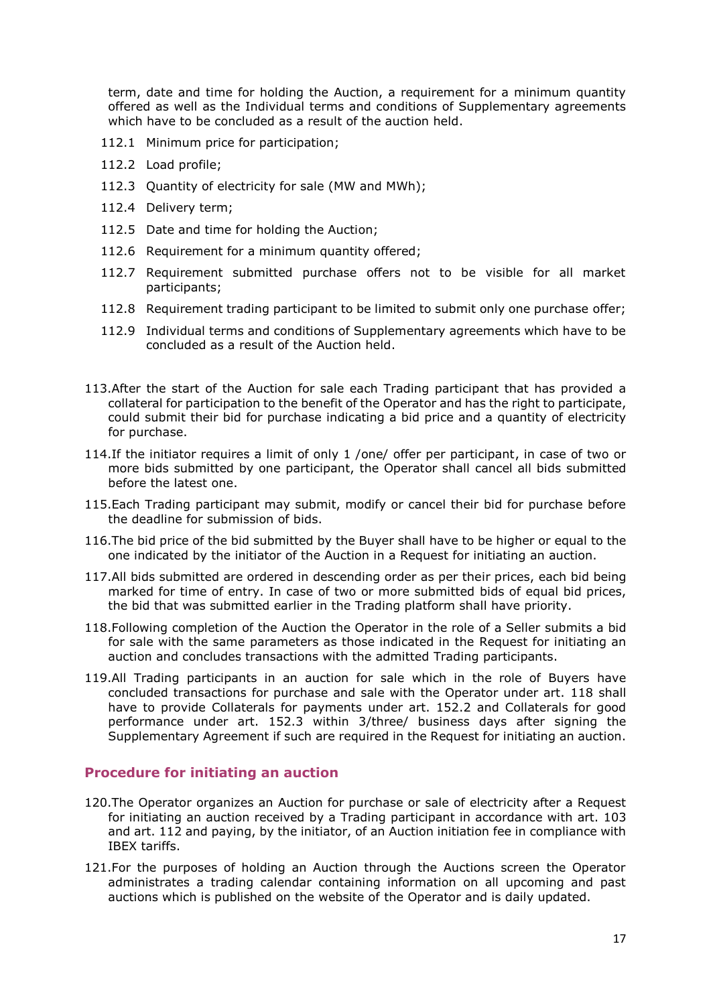term, date and time for holding the Auction, a requirement for a minimum quantity offered as well as the Individual terms and conditions of Supplementary agreements which have to be concluded as a result of the auction held.

- 112.1 Minimum price for participation;
- 112.2 Load profile;
- 112.3 Quantity of electricity for sale (MW and MWh);
- 112.4 Delivery term;
- 112.5 Date and time for holding the Auction;
- 112.6 Requirement for a minimum quantity offered;
- <span id="page-16-0"></span>112.7 Requirement submitted purchase offers not to be visible for all market participants;
- 112.8 Requirement trading participant to be limited to submit only one purchase offer;
- 112.9 Individual terms and conditions of Supplementary agreements which have to be concluded as a result of the Auction held.
- 113.After the start of the Auction for sale each Trading participant that has provided a collateral for participation to the benefit of the Operator and has the right to participate, could submit their bid for purchase indicating a bid price and a quantity of electricity for purchase.
- 114.If the initiator requires a limit of only 1 /one/ offer per participant, in case of two or more bids submitted by one participant, the Operator shall cancel all bids submitted before the latest one.
- 115.Each Trading participant may submit, modify or cancel their bid for purchase before the deadline for submission of bids.
- 116.The bid price of the bid submitted by the Buyer shall have to be higher or equal to the one indicated by the initiator of the Auction in a Request for initiating an auction.
- 117.All bids submitted are ordered in descending order as per their prices, each bid being marked for time of entry. In case of two or more submitted bids of equal bid prices, the bid that was submitted earlier in the Trading platform shall have priority.
- <span id="page-16-1"></span>118.Following completion of the Auction the Operator in the role of a Seller submits a bid for sale with the same parameters as those indicated in the Request for initiating an auction and concludes transactions with the admitted Trading participants.
- 119.All Trading participants in an auction for sale which in the role of Buyers have concluded transactions for purchase and sale with the Operator under art. [118](#page-16-1) shall have to provide Collaterals for payments under art. [152.2](#page-20-1) and Collaterals for good performance under art. [152.3](#page-21-1) within 3/three/ business days after signing the Supplementary Agreement if such are required in the Request for initiating an auction.

#### **Procedure for initiating an auction**

- 120.The Operator organizes an Auction for purchase or sale of electricity after a Request for initiating an auction received by a Trading participant in accordance with art. [103](#page-15-0) and art. [112](#page-15-2) and paying, by the initiator, of an Auction initiation fee in compliance with IBEX tariffs.
- 121.For the purposes of holding an Auction through the Auctions screen the Operator administrates a trading calendar containing information on all upcoming and past auctions which is published on the website of the Operator and is daily updated.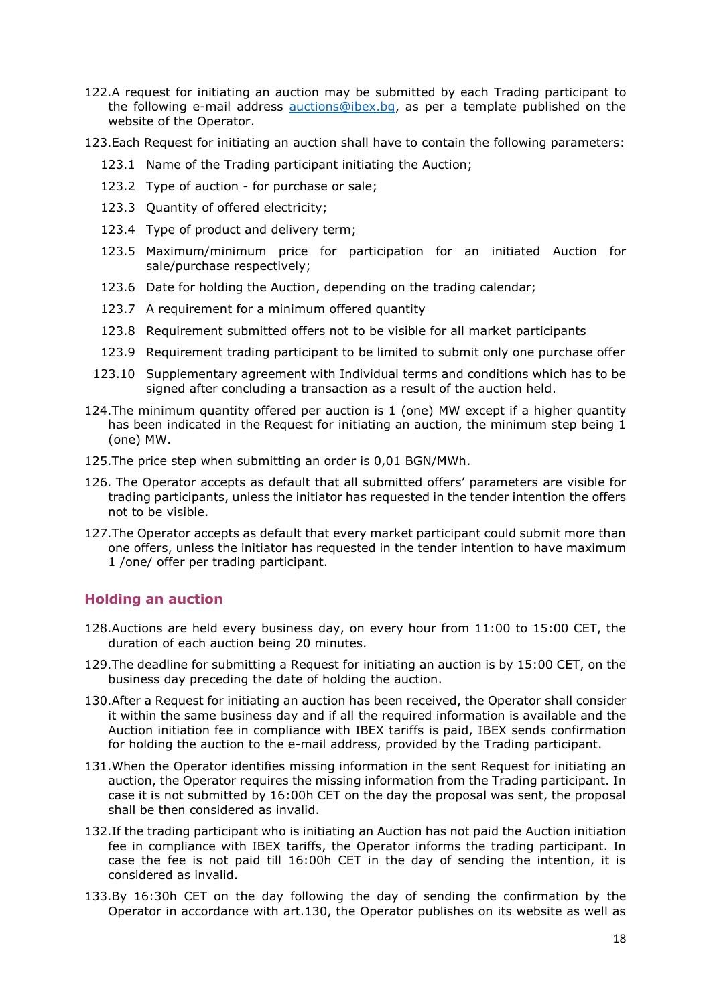- 122.A request for initiating an auction may be submitted by each Trading participant to the following e-mail address [auctions@ibex.bg,](mailto:auctions@ibex.bg) as per a template published on the website of the Operator.
- <span id="page-17-2"></span>123.Each Request for initiating an auction shall have to contain the following parameters:
	- 123.1 Name of the Trading participant initiating the Auction;
	- 123.2 Type of auction for purchase or sale;
	- 123.3 Quantity of offered electricity;
	- 123.4 Type of product and delivery term;
	- 123.5 Maximum/minimum price for participation for an initiated Auction for sale/purchase respectively;
	- 123.6 Date for holding the Auction, depending on the trading calendar;
	- 123.7 A requirement for a minimum offered quantity
	- 123.8 Requirement submitted offers not to be visible for all market participants
	- 123.9 Requirement trading participant to be limited to submit only one purchase offer
- <span id="page-17-0"></span>123.10 Supplementary agreement with Individual terms and conditions which has to be signed after concluding a transaction as a result of the auction held.
- 124.The minimum quantity offered per auction is 1 (one) MW except if a higher quantity has been indicated in the Request for initiating an auction, the minimum step being 1 (one) MW.
- 125.The price step when submitting an order is 0,01 BGN/MWh.
- 126. The Operator accepts as default that all submitted offers' parameters are visible for trading participants, unless the initiator has requested in the tender intention the offers not to be visible.
- 127.The Operator accepts as default that every market participant could submit more than one offers, unless the initiator has requested in the tender intention to have maximum 1 /one/ offer per trading participant.

#### **Holding an auction**

- 128.Auctions are held every business day, on every hour from 11:00 to 15:00 CET, the duration of each auction being 20 minutes.
- 129.The deadline for submitting a Request for initiating an auction is by 15:00 CET, on the business day preceding the date of holding the auction.
- <span id="page-17-1"></span>130.After a Request for initiating an auction has been received, the Operator shall consider it within the same business day and if all the required information is available and the Auction initiation fee in compliance with IBEX tariffs is paid, IBEX sends confirmation for holding the auction to the e-mail address, provided by the Trading participant.
- 131.When the Operator identifies missing information in the sent Request for initiating an auction, the Operator requires the missing information from the Trading participant. In case it is not submitted by 16:00h CET on the day the proposal was sent, the proposal shall be then considered as invalid.
- <span id="page-17-3"></span>132.If the trading participant who is initiating an Auction has not paid the Auction initiation fee in compliance with IBEX tariffs, the Operator informs the trading participant. In case the fee is not paid till 16:00h CET in the day of sending the intention, it is considered as invalid.
- 133.By 16:30h CET on the day following the day of sending the confirmation by the Operator in accordance with art[.130,](#page-17-1) the Operator publishes on its website as well as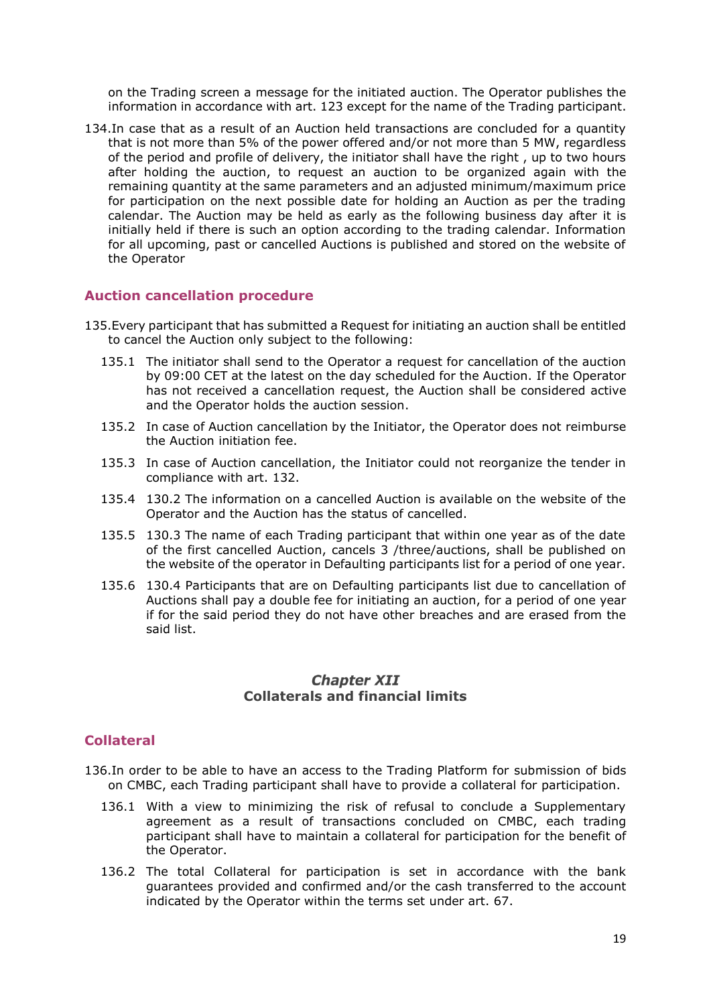on the Trading screen a message for the initiated auction. The Operator publishes the information in accordance with art. [123](#page-17-2) except for the name of the Trading participant.

134.In case that as a result of an Auction held transactions are concluded for a quantity that is not more than 5% of the power offered and/or not more than 5 MW, regardless of the period and profile of delivery, the initiator shall have the right , up to two hours after holding the auction, to request an auction to be organized again with the remaining quantity at the same parameters and an adjusted minimum/maximum price for participation on the next possible date for holding an Auction as per the trading calendar. The Auction may be held as early as the following business day after it is initially held if there is such an option according to the trading calendar. Information for all upcoming, past or cancelled Auctions is published and stored on the website of the Operator

#### **Auction cancellation procedure**

- 135.Every participant that has submitted a Request for initiating an auction shall be entitled to cancel the Auction only subject to the following:
	- 135.1 The initiator shall send to the Operator a request for cancellation of the auction by 09:00 CET at the latest on the day scheduled for the Auction. If the Operator has not received a cancellation request, the Auction shall be considered active and the Operator holds the auction session.
	- 135.2 In case of Auction cancellation by the Initiator, the Operator does not reimburse the Auction initiation fee.
	- 135.3 In case of Auction cancellation, the Initiator could not reorganize the tender in compliance with art. [132.](#page-17-3)
	- 135.4 130.2 The information on a cancelled Auction is available on the website of the Operator and the Auction has the status of cancelled.
	- 135.5 130.3 The name of each Trading participant that within one year as of the date of the first cancelled Auction, cancels 3 /three/auctions, shall be published on the website of the operator in Defaulting participants list for a period of one year.
	- 135.6 130.4 Participants that are on Defaulting participants list due to cancellation of Auctions shall pay a double fee for initiating an auction, for a period of one year if for the said period they do not have other breaches and are erased from the said list.

#### **Chapter XII Collaterals and financial limits**

# <span id="page-18-0"></span>**Collateral**

- 136.In order to be able to have an access to the Trading Platform for submission of bids on CMBC, each Trading participant shall have to provide a collateral for participation.
	- 136.1 With a view to minimizing the risk of refusal to conclude a Supplementary agreement as a result of transactions concluded on CMBC, each trading participant shall have to maintain a collateral for participation for the benefit of the Operator.
	- 136.2 The total Collateral for participation is set in accordance with the bank guarantees provided and confirmed and/or the cash transferred to the account indicated by the Operator within the terms set under art. [67.](#page-10-3)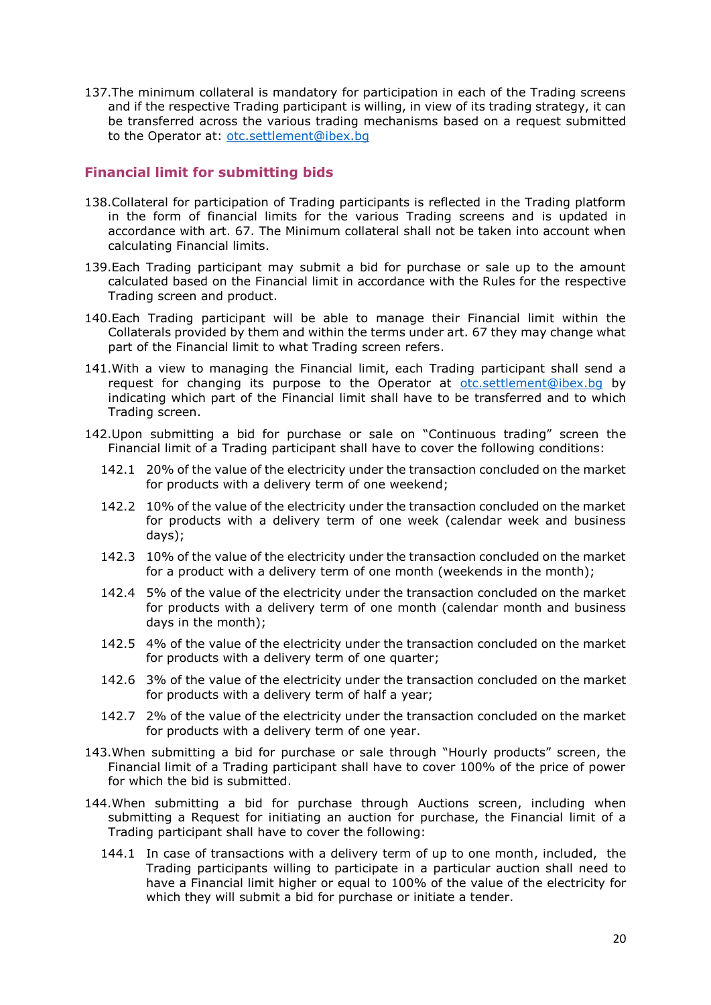137.The minimum collateral is mandatory for participation in each of the Trading screens and if the respective Trading participant is willing, in view of its trading strategy, it can be transferred across the various trading mechanisms based on a request submitted to the Operator at: [otc.settlement@ibex.bg](mailto:otc.settlement@ibex.bg)

# **Financial limit for submitting bids**

- 138.Collateral for participation of Trading participants is reflected in the Trading platform in the form of financial limits for the various Trading screens and is updated in accordance with art. [67.](#page-10-3) The Minimum collateral shall not be taken into account when calculating Financial limits.
- 139.Each Trading participant may submit a bid for purchase or sale up to the amount calculated based on the Financial limit in accordance with the Rules for the respective Trading screen and product.
- 140.Each Trading participant will be able to manage their Financial limit within the Collaterals provided by them and within the terms under art. [67](#page-10-3) they may change what part of the Financial limit to what Trading screen refers.
- <span id="page-19-3"></span>141.With a view to managing the Financial limit, each Trading participant shall send a request for changing its purpose to the Operator at [otc.settlement@ibex.bg](mailto:otc.settlement@ibex.bg) by indicating which part of the Financial limit shall have to be transferred and to which Trading screen.
- <span id="page-19-0"></span>142.Upon submitting a bid for purchase or sale on "Continuous trading" screen the Financial limit of a Trading participant shall have to cover the following conditions:
	- 142.1 20% of the value of the electricity under the transaction concluded on the market for products with a delivery term of one weekend;
	- 142.2 10% of the value of the electricity under the transaction concluded on the market for products with a delivery term of one week (calendar week and business days);
	- 142.3 10% of the value of the electricity under the transaction concluded on the market for a product with a delivery term of one month (weekends in the month);
	- 142.4 5% of the value of the electricity under the transaction concluded on the market for products with a delivery term of one month (calendar month and business days in the month);
	- 142.5 4% of the value of the electricity under the transaction concluded on the market for products with a delivery term of one quarter;
	- 142.6 3% of the value of the electricity under the transaction concluded on the market for products with a delivery term of half a year;
	- 142.7 2% of the value of the electricity under the transaction concluded on the market for products with a delivery term of one year.
- <span id="page-19-1"></span>143.When submitting a bid for purchase or sale through "Hourly products" screen, the Financial limit of a Trading participant shall have to cover 100% of the price of power for which the bid is submitted.
- <span id="page-19-4"></span><span id="page-19-2"></span>144.When submitting a bid for purchase through Auctions screen, including when submitting a Request for initiating an auction for purchase, the Financial limit of a Trading participant shall have to cover the following:
	- 144.1 In case of transactions with a delivery term of up to one month, included, the Trading participants willing to participate in a particular auction shall need to have a Financial limit higher or equal to 100% of the value of the electricity for which they will submit a bid for purchase or initiate a tender.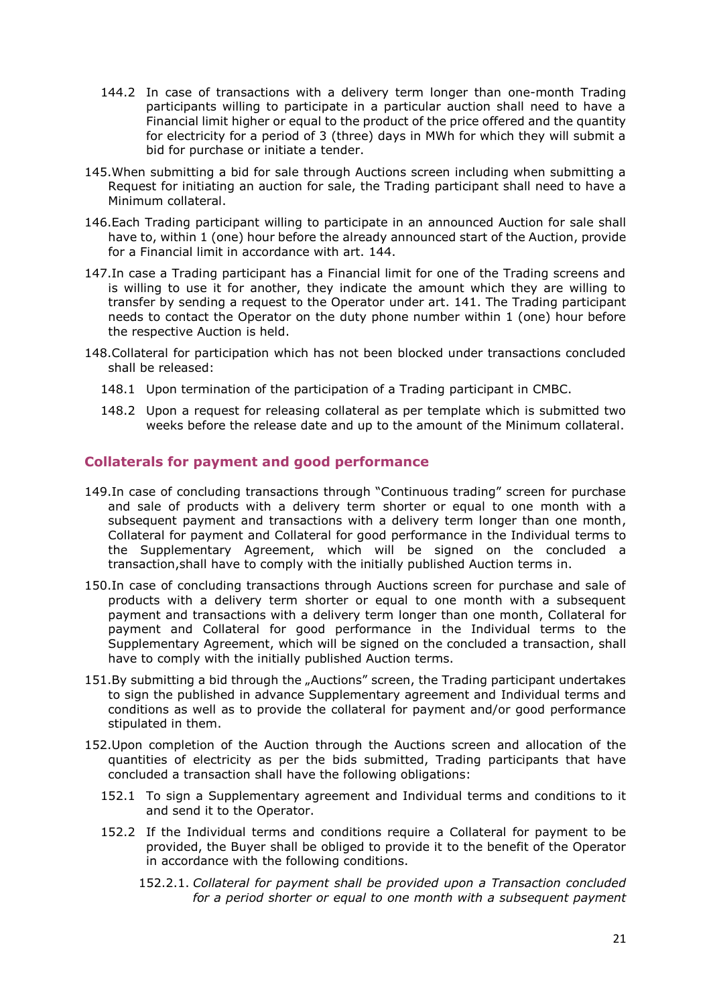- 144.2 In case of transactions with a delivery term longer than one-month Trading participants willing to participate in a particular auction shall need to have a Financial limit higher or equal to the product of the price offered and the quantity for electricity for a period of 3 (three) days in MWh for which they will submit a bid for purchase or initiate a tender.
- 145.When submitting a bid for sale through Auctions screen including when submitting a Request for initiating an auction for sale, the Trading participant shall need to have a Minimum collateral.
- 146.Each Trading participant willing to participate in an announced Auction for sale shall have to, within 1 (one) hour before the already announced start of the Auction, provide for a Financial limit in accordance with art. [144.](#page-19-2)
- 147.In case a Trading participant has a Financial limit for one of the Trading screens and is willing to use it for another, they indicate the amount which they are willing to transfer by sending a request to the Operator under art. [141.](#page-19-3) The Trading participant needs to contact the Operator on the duty phone number within 1 (one) hour before the respective Auction is held.
- 148.Collateral for participation which has not been blocked under transactions concluded shall be released:
	- 148.1 Upon termination of the participation of a Trading participant in CMBC.
	- 148.2 Upon a request for releasing collateral as per template which is submitted two weeks before the release date and up to the amount of the Minimum collateral.

#### <span id="page-20-0"></span>**Collaterals for payment and good performance**

- 149.In case of concluding transactions through "Continuous trading" screen for purchase and sale of products with a delivery term shorter or equal to one month with a subsequent payment and transactions with a delivery term longer than one month, Collateral for payment and Collateral for good performance in the Individual terms to the Supplementary Agreement, which will be signed on the concluded a transaction,shall have to comply with the initially published Auction terms in.
- 150.In case of concluding transactions through Auctions screen for purchase and sale of products with a delivery term shorter or equal to one month with a subsequent payment and transactions with a delivery term longer than one month, Collateral for payment and Collateral for good performance in the Individual terms to the Supplementary Agreement, which will be signed on the concluded a transaction, shall have to comply with the initially published Auction terms.
- 151.By submitting a bid through the "Auctions" screen, the Trading participant undertakes to sign the published in advance Supplementary agreement and Individual terms and conditions as well as to provide the collateral for payment and/or good performance stipulated in them.
- <span id="page-20-1"></span>152.Upon completion of the Auction through the Auctions screen and allocation of the quantities of electricity as per the bids submitted, Trading participants that have concluded a transaction shall have the following obligations:
	- 152.1 To sign a Supplementary agreement and Individual terms and conditions to it and send it to the Operator.
	- 152.2 If the Individual terms and conditions require a Collateral for payment to be provided, the Buyer shall be obliged to provide it to the benefit of the Operator in accordance with the following conditions.
		- 152.2.1. *Collateral for payment shall be provided upon a Transaction concluded for a period shorter or equal to one month with a subsequent payment*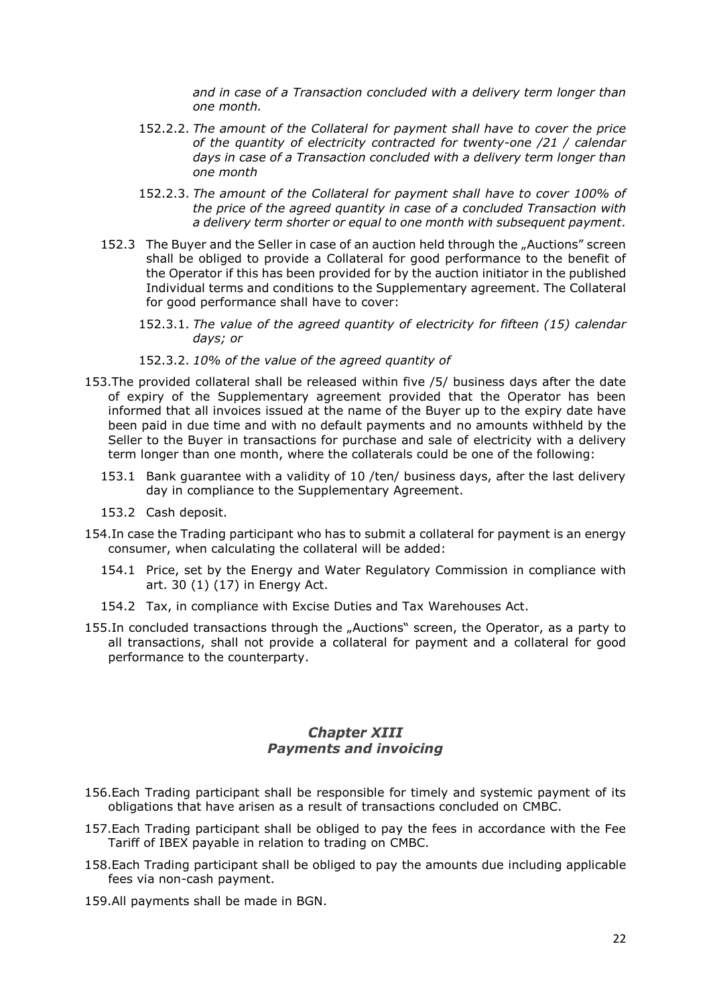*and in case of a Transaction concluded with a delivery term longer than one month.*

- 152.2.2. *The amount of the Collateral for payment shall have to cover the price of the quantity of electricity contracted for twenty-one /21 / calendar days in case of a Transaction concluded with a delivery term longer than one month*
- 152.2.3. *The amount of the Collateral for payment shall have to cover 100% of the price of the agreed quantity in case of a concluded Transaction with a delivery term shorter or equal to one month with subsequent payment.*
- <span id="page-21-1"></span>152.3 The Buyer and the Seller in case of an auction held through the "Auctions" screen shall be obliged to provide a Collateral for good performance to the benefit of the Operator if this has been provided for by the auction initiator in the published Individual terms and conditions to the Supplementary agreement. The Collateral for good performance shall have to cover:
	- 152.3.1. *The value of the agreed quantity of electricity for fifteen (15) calendar days; or*

#### 152.3.2. *10% of the value of the agreed quantity of*

- 153.The provided collateral shall be released within five /5/ business days after the date of expiry of the Supplementary agreement provided that the Operator has been informed that all invoices issued at the name of the Buyer up to the expiry date have been paid in due time and with no default payments and no amounts withheld by the Seller to the Buyer in transactions for purchase and sale of electricity with a delivery term longer than one month, where the collaterals could be one of the following:
	- 153.1 Bank guarantee with a validity of 10 /ten/ business days, after the last delivery day in compliance to the Supplementary Agreement.
	- 153.2 Cash deposit.
- 154.In case the Trading participant who has to submit a collateral for payment is an energy consumer, when calculating the collateral will be added:
	- 154.1 Price, set by the Energy and Water Regulatory Commission in compliance with art. 30 (1) (17) in Energy Act.
	- 154.2 Tax, in compliance with Excise Duties and Tax Warehouses Act.
- 155. In concluded transactions through the "Auctions" screen, the Operator, as a party to all transactions, shall not provide a collateral for payment and a collateral for good performance to the counterparty.

# **Chapter XIII** *Payments and invoicing*

- <span id="page-21-0"></span>156.Each Trading participant shall be responsible for timely and systemic payment of its obligations that have arisen as a result of transactions concluded on CMBC.
- <span id="page-21-2"></span>157.Each Trading participant shall be obliged to pay the fees in accordance with the Fee Tariff of IBEX payable in relation to trading on CMBC.
- 158.Each Trading participant shall be obliged to pay the amounts due including applicable fees via non-cash payment.
- 159.All payments shall be made in BGN.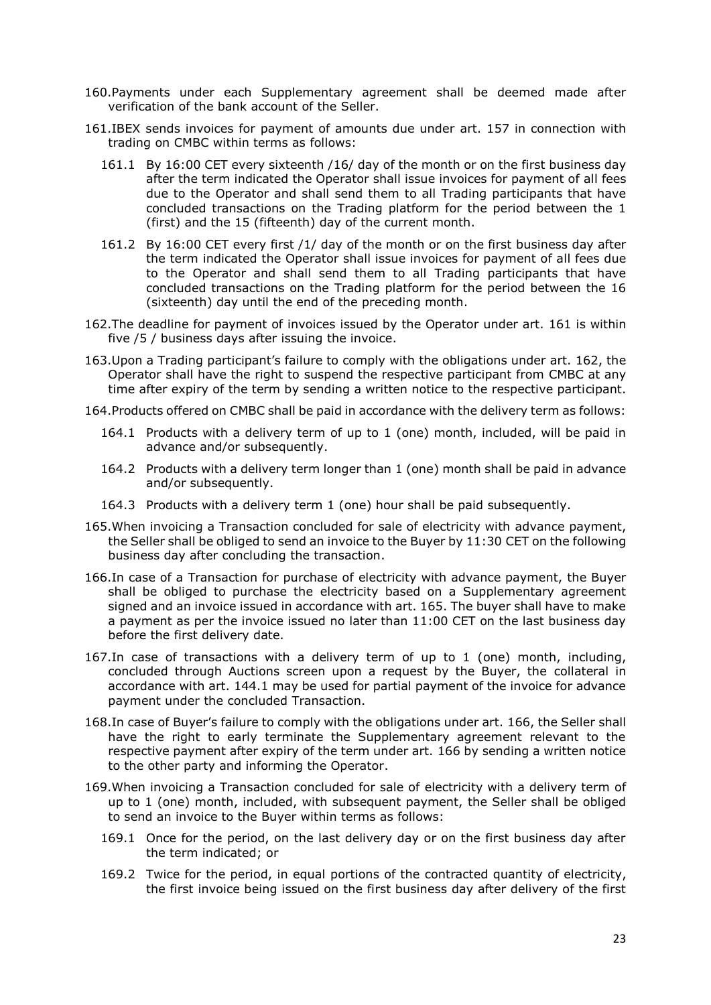- 160.Payments under each Supplementary agreement shall be deemed made after verification of the bank account of the Seller.
- <span id="page-22-0"></span>161.IBEX sends invoices for payment of amounts due under art. [157](#page-21-2) in connection with trading on CMBC within terms as follows:
	- 161.1 By 16:00 CET every sixteenth /16/ day of the month or on the first business day after the term indicated the Operator shall issue invoices for payment of all fees due to the Operator and shall send them to all Trading participants that have concluded transactions on the Trading platform for the period between the 1 (first) and the 15 (fifteenth) day of the current month.
	- 161.2 By 16:00 CET every first /1/ day of the month or on the first business day after the term indicated the Operator shall issue invoices for payment of all fees due to the Operator and shall send them to all Trading participants that have concluded transactions on the Trading platform for the period between the 16 (sixteenth) day until the end of the preceding month.
- <span id="page-22-1"></span>162.The deadline for payment of invoices issued by the Operator under art. [161](#page-22-0) is within five /5 / business days after issuing the invoice.
- 163.Upon a Trading participant's failure to comply with the obligations under art. [162,](#page-22-1) the Operator shall have the right to suspend the respective participant from CMBC at any time after expiry of the term by sending a written notice to the respective participant.
- 164.Products offered on CMBC shall be paid in accordance with the delivery term as follows:
	- 164.1 Products with a delivery term of up to 1 (one) month, included, will be paid in advance and/or subsequently.
	- 164.2 Products with a delivery term longer than 1 (one) month shall be paid in advance and/or subsequently.
	- 164.3 Products with a delivery term 1 (one) hour shall be paid subsequently.
- <span id="page-22-2"></span>165.When invoicing a Transaction concluded for sale of electricity with advance payment, the Seller shall be obliged to send an invoice to the Buyer by 11:30 CET on the following business day after concluding the transaction.
- <span id="page-22-3"></span>166.In case of a Transaction for purchase of electricity with advance payment, the Buyer shall be obliged to purchase the electricity based on a Supplementary agreement signed and an invoice issued in accordance with art. [165.](#page-22-2) The buyer shall have to make a payment as per the invoice issued no later than 11:00 CET on the last business day before the first delivery date.
- 167.In case of transactions with a delivery term of up to 1 (one) month, including, concluded through Auctions screen upon a request by the Buyer, the collateral in accordance with art. [144.1](#page-19-4) may be used for partial payment of the invoice for advance payment under the concluded Transaction.
- <span id="page-22-5"></span>168.In case of Buyer's failure to comply with the obligations under art. [166,](#page-22-3) the Seller shall have the right to early terminate the Supplementary agreement relevant to the respective payment after expiry of the term under art. [166](#page-22-3) by sending a written notice to the other party and informing the Operator.
- <span id="page-22-4"></span>169.When invoicing a Transaction concluded for sale of electricity with a delivery term of up to 1 (one) month, included, with subsequent payment, the Seller shall be obliged to send an invoice to the Buyer within terms as follows:
	- 169.1 Once for the period, on the last delivery day or on the first business day after the term indicated; or
	- 169.2 Twice for the period, in equal portions of the contracted quantity of electricity, the first invoice being issued on the first business day after delivery of the first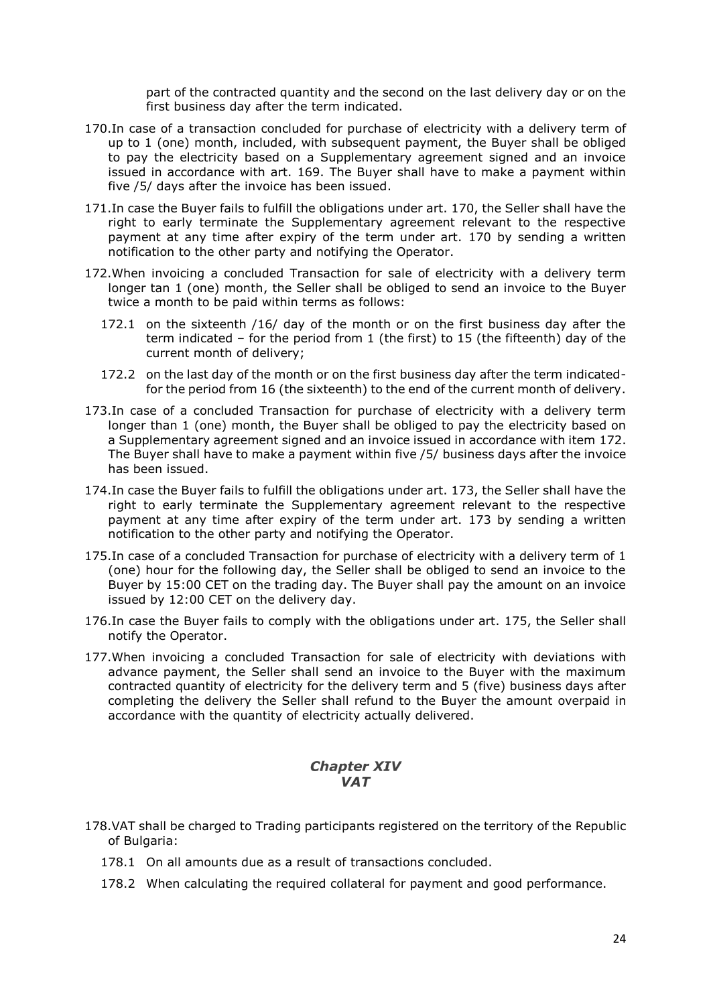part of the contracted quantity and the second on the last delivery day or on the first business day after the term indicated.

- <span id="page-23-1"></span>170.In case of a transaction concluded for purchase of electricity with a delivery term of up to 1 (one) month, included, with subsequent payment, the Buyer shall be obliged to pay the electricity based on a Supplementary agreement signed and an invoice issued in accordance with art. [169.](#page-22-4) The Buyer shall have to make a payment within five /5/ days after the invoice has been issued.
- <span id="page-23-5"></span>171.In case the Buyer fails to fulfill the obligations under art. [170,](#page-23-1) the Seller shall have the right to early terminate the Supplementary agreement relevant to the respective payment at any time after expiry of the term under art. [170](#page-23-1) by sending a written notification to the other party and notifying the Operator.
- <span id="page-23-2"></span>172.When invoicing a concluded Transaction for sale of electricity with a delivery term longer tan 1 (one) month, the Seller shall be obliged to send an invoice to the Buyer twice a month to be paid within terms as follows:
	- 172.1 on the sixteenth /16/ day of the month or on the first business day after the term indicated – for the period from 1 (the first) to 15 (the fifteenth) day of the current month of delivery;
	- 172.2 on the last day of the month or on the first business day after the term indicatedfor the period from 16 (the sixteenth) to the end of the current month of delivery.
- <span id="page-23-3"></span>173.In case of a concluded Transaction for purchase of electricity with a delivery term longer than 1 (one) month, the Buyer shall be obliged to pay the electricity based on a Supplementary agreement signed and an invoice issued in accordance with item [172.](#page-23-2) The Buyer shall have to make a payment within five /5/ business days after the invoice has been issued.
- <span id="page-23-6"></span>174.In case the Buyer fails to fulfill the obligations under art. [173,](#page-23-3) the Seller shall have the right to early terminate the Supplementary agreement relevant to the respective payment at any time after expiry of the term under art. [173](#page-23-3) by sending a written notification to the other party and notifying the Operator.
- <span id="page-23-4"></span>175. In case of a concluded Transaction for purchase of electricity with a delivery term of 1 (one) hour for the following day, the Seller shall be obliged to send an invoice to the Buyer by 15:00 CET on the trading day. The Buyer shall pay the amount on an invoice issued by 12:00 CET on the delivery day.
- 176.In case the Buyer fails to comply with the obligations under art. [175,](#page-23-4) the Seller shall notify the Operator.
- 177.When invoicing a concluded Transaction for sale of electricity with deviations with advance payment, the Seller shall send an invoice to the Buyer with the maximum contracted quantity of electricity for the delivery term and 5 (five) business days after completing the delivery the Seller shall refund to the Buyer the amount overpaid in accordance with the quantity of electricity actually delivered.

# *VAT*

- <span id="page-23-0"></span>178.VAT shall be charged to Trading participants registered on the territory of the Republic of Bulgaria:
	- 178.1 On all amounts due as a result of transactions concluded.
	- 178.2 When calculating the required collateral for payment and good performance.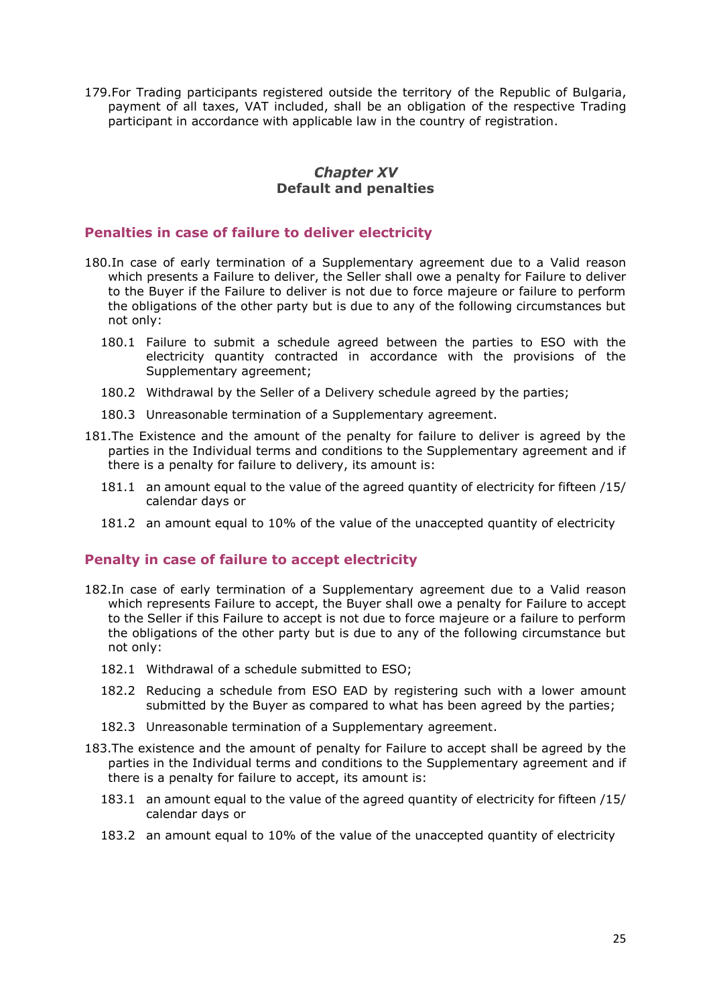179.For Trading participants registered outside the territory of the Republic of Bulgaria, payment of all taxes, VAT included, shall be an obligation of the respective Trading participant in accordance with applicable law in the country of registration.

#### **Chapter XV Default and penalties**

#### <span id="page-24-0"></span>**Penalties in case of failure to deliver electricity**

- 180.In case of early termination of a Supplementary agreement due to a Valid reason which presents a Failure to deliver, the Seller shall owe a penalty for Failure to deliver to the Buyer if the Failure to deliver is not due to force majeure or failure to perform the obligations of the other party but is due to any of the following circumstances but not only:
	- 180.1 Failure to submit a schedule agreed between the parties to ESO with the electricity quantity contracted in accordance with the provisions of the Supplementary agreement;
	- 180.2 Withdrawal by the Seller of a Delivery schedule agreed by the parties;
	- 180.3 Unreasonable termination of a Supplementary agreement.
- 181.The Existence and the amount of the penalty for failure to deliver is agreed by the parties in the Individual terms and conditions to the Supplementary agreement and if there is a penalty for failure to delivery, its amount is:
	- 181.1 an amount equal to the value of the agreed quantity of electricity for fifteen /15/ calendar days or
	- 181.2 an amount equal to 10% of the value of the unaccepted quantity of electricity

#### **Penalty in case of failure to accept electricity**

- 182.In case of early termination of a Supplementary agreement due to a Valid reason which represents Failure to accept, the Buyer shall owe a penalty for Failure to accept to the Seller if this Failure to accept is not due to force majeure or a failure to perform the obligations of the other party but is due to any of the following circumstance but not only:
	- 182.1 Withdrawal of a schedule submitted to ESO;
	- 182.2 Reducing a schedule from ESO EAD by registering such with a lower amount submitted by the Buyer as compared to what has been agreed by the parties;
	- 182.3 Unreasonable termination of a Supplementary agreement.
- 183.The existence and the amount of penalty for Failure to accept shall be agreed by the parties in the Individual terms and conditions to the Supplementary agreement and if there is a penalty for failure to accept, its amount is:
	- 183.1 an amount equal to the value of the agreed quantity of electricity for fifteen /15/ calendar days or
	- 183.2 an amount equal to 10% of the value of the unaccepted quantity of electricity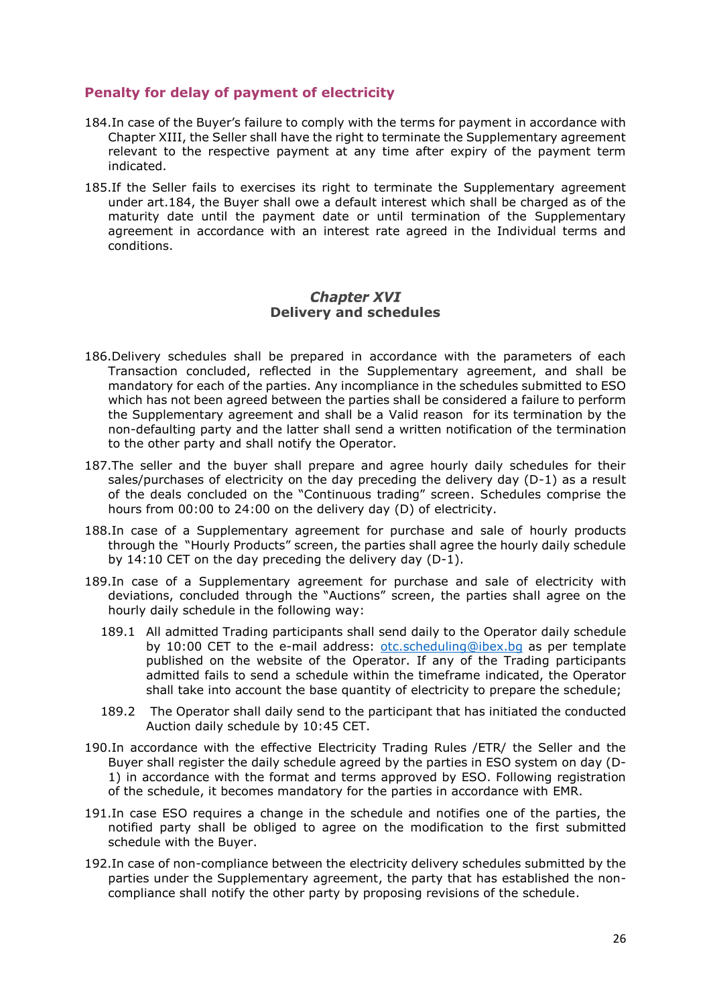#### **Penalty for delay of payment of electricity**

- <span id="page-25-1"></span>184.In case of the Buyer's failure to comply with the terms for payment in accordance with Chapter XIII, the Seller shall have the right to terminate the Supplementary agreement relevant to the respective payment at any time after expiry of the payment term indicated.
- 185.If the Seller fails to exercises its right to terminate the Supplementary agreement under art[.184,](#page-25-1) the Buyer shall owe a default interest which shall be charged as of the maturity date until the payment date or until termination of the Supplementary agreement in accordance with an interest rate agreed in the Individual terms and conditions.

#### **Chapter XVI Delivery and schedules**

- <span id="page-25-2"></span><span id="page-25-0"></span>186.Delivery schedules shall be prepared in accordance with the parameters of each Transaction concluded, reflected in the Supplementary agreement, and shall be mandatory for each of the parties. Any incompliance in the schedules submitted to ESO which has not been agreed between the parties shall be considered a failure to perform the Supplementary agreement and shall be a Valid reason for its termination by the non-defaulting party and the latter shall send a written notification of the termination to the other party and shall notify the Operator.
- 187.The seller and the buyer shall prepare and agree hourly daily schedules for their sales/purchases of electricity on the day preceding the delivery day (D-1) as a result of the deals concluded on the "Continuous trading" screen. Schedules comprise the hours from 00:00 to 24:00 on the delivery day (D) of electricity.
- 188.In case of a Supplementary agreement for purchase and sale of hourly products through the "Hourly Products" screen, the parties shall agree the hourly daily schedule by 14:10 CET on the day preceding the delivery day (D-1).
- 189.In case of a Supplementary agreement for purchase and sale of electricity with deviations, concluded through the "Auctions" screen, the parties shall agree on the hourly daily schedule in the following way:
	- 189.1 All admitted Trading participants shall send daily to the Operator daily schedule by 10:00 CET to the e-mail address: [otc.scheduling@ibex.bg](mailto:otc.scheduling@ibex.bg) as per template published on the website of the Operator. If any of the Trading participants admitted fails to send a schedule within the timeframe indicated, the Operator shall take into account the base quantity of electricity to prepare the schedule;
	- 189.2 The Operator shall daily send to the participant that has initiated the conducted Auction daily schedule by 10:45 CET.
- 190.In accordance with the effective Electricity Trading Rules /ETR/ the Seller and the Buyer shall register the daily schedule agreed by the parties in ESO system on day (D-1) in accordance with the format and terms approved by ESO. Following registration of the schedule, it becomes mandatory for the parties in accordance with EMR.
- 191.In case ESO requires a change in the schedule and notifies one of the parties, the notified party shall be obliged to agree on the modification to the first submitted schedule with the Buyer.
- 192.In case of non-compliance between the electricity delivery schedules submitted by the parties under the Supplementary agreement, the party that has established the noncompliance shall notify the other party by proposing revisions of the schedule.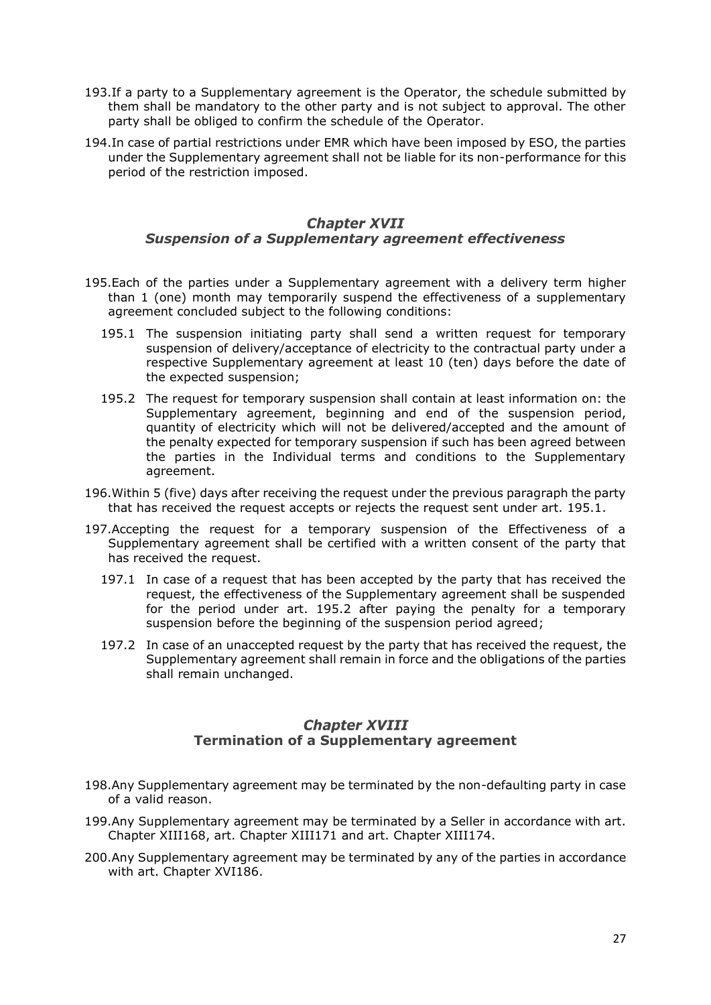- 193.If a party to a Supplementary agreement is the Operator, the schedule submitted by them shall be mandatory to the other party and is not subject to approval. The other party shall be obliged to confirm the schedule of the Operator.
- 194.In case of partial restrictions under EMR which have been imposed by ESO, the parties under the Supplementary agreement shall not be liable for its non-performance for this period of the restriction imposed.

# **Chapter XVII** *Suspension of a Supplementary agreement effectiveness*

- <span id="page-26-2"></span><span id="page-26-0"></span>195.Each of the parties under a Supplementary agreement with a delivery term higher than 1 (one) month may temporarily suspend the effectiveness of a supplementary agreement concluded subject to the following conditions:
	- 195.1 The suspension initiating party shall send a written request for temporary suspension of delivery/acceptance of electricity to the contractual party under a respective Supplementary agreement at least 10 (ten) days before the date of the expected suspension;
	- 195.2 The request for temporary suspension shall contain at least information on: the Supplementary agreement, beginning and end of the suspension period, quantity of electricity which will not be delivered/accepted and the amount of the penalty expected for temporary suspension if such has been agreed between the parties in the Individual terms and conditions to the Supplementary agreement.
- <span id="page-26-3"></span>196.Within 5 (five) days after receiving the request under the previous paragraph the party that has received the request accepts or rejects the request sent under art. [195.1.](#page-26-2)
- 197.Accepting the request for a temporary suspension of the Effectiveness of a Supplementary agreement shall be certified with a written consent of the party that has received the request.
	- 197.1 In case of a request that has been accepted by the party that has received the request, the effectiveness of the Supplementary agreement shall be suspended for the period under art. [195.2](#page-26-3) after paying the penalty for a temporary suspension before the beginning of the suspension period agreed;
	- 197.2 In case of an unaccepted request by the party that has received the request, the Supplementary agreement shall remain in force and the obligations of the parties shall remain unchanged.

# **Chapter XVIII Termination of a Supplementary agreement**

- <span id="page-26-1"></span>198.Any Supplementary agreement may be terminated by the non-defaulting party in case of a valid reason.
- 199.Any Supplementary agreement may be terminated by a Seller in accordance with art. [Chapter XIII168,](#page-22-5) art. [Chapter XIII171](#page-23-5) and art. [Chapter XIII174.](#page-23-6)
- 200.Any Supplementary agreement may be terminated by any of the parties in accordance with art. [Chapter XVI186.](#page-25-2)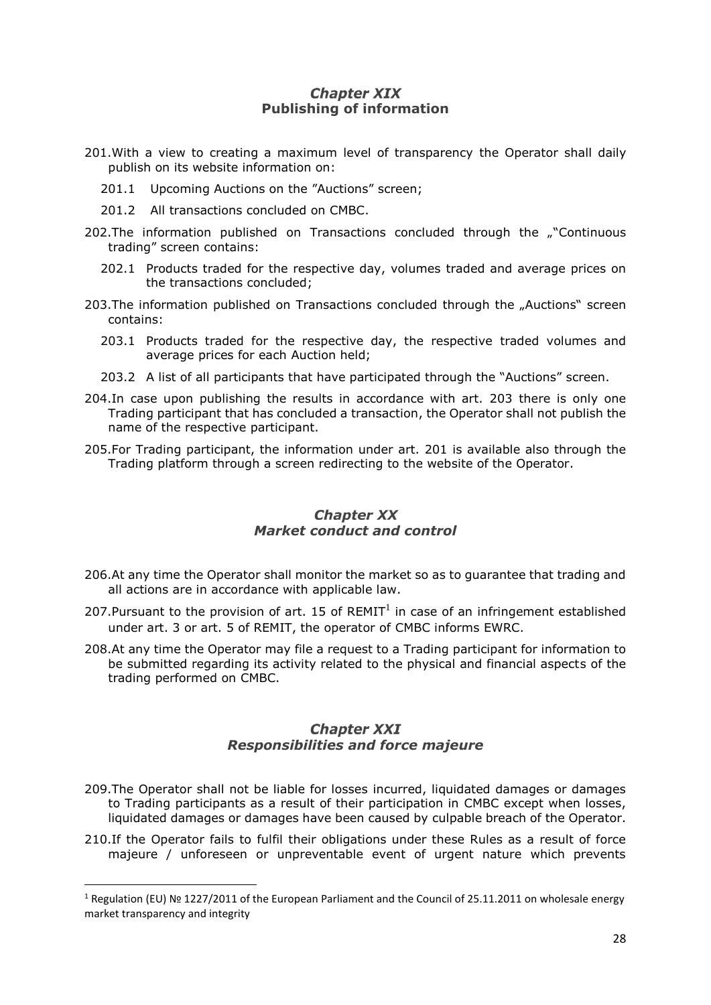# **Chapter XIX Publishing of information**

- <span id="page-27-4"></span><span id="page-27-0"></span>201.With a view to creating a maximum level of transparency the Operator shall daily publish on its website information on:
	- 201.1 Upcoming Auctions on the "Auctions" screen;
	- 201.2 All transactions concluded on CMBC.
- 202.The information published on Transactions concluded through the ""Continuous trading" screen contains:
	- 202.1 Products traded for the respective day, volumes traded and average prices on the transactions concluded;
- <span id="page-27-3"></span>203.The information published on Transactions concluded through the "Auctions" screen contains:
	- 203.1 Products traded for the respective day, the respective traded volumes and average prices for each Auction held;
	- 203.2 A list of all participants that have participated through the "Auctions" screen.
- 204.In case upon publishing the results in accordance with art. [203](#page-27-3) there is only one Trading participant that has concluded a transaction, the Operator shall not publish the name of the respective participant.
- 205.For Trading participant, the information under art. [201](#page-27-4) is available also through the Trading platform through a screen redirecting to the website of the Operator.

#### **Chapter XX** *Market conduct and control*

- <span id="page-27-1"></span>206.At any time the Operator shall monitor the market so as to guarantee that trading and all actions are in accordance with applicable law.
- 207. Pursuant to the provision of art. 15 of  $REMIT<sup>1</sup>$  in case of an infringement established under art. 3 or art. 5 of REMIT, the operator of CMBC informs EWRC.
- 208.At any time the Operator may file a request to a Trading participant for information to be submitted regarding its activity related to the physical and financial aspects of the trading performed on CMBC.

# **Chapter XXI** *Responsibilities and force majeure*

- <span id="page-27-2"></span>209.The Operator shall not be liable for losses incurred, liquidated damages or damages to Trading participants as a result of their participation in CMBC except when losses, liquidated damages or damages have been caused by culpable breach of the Operator.
- 210.If the Operator fails to fulfil their obligations under these Rules as a result of force majeure / unforeseen or unpreventable event of urgent nature which prevents

1

<sup>&</sup>lt;sup>1</sup> Regulation (EU) № 1227/2011 of the European Parliament and the Council of 25.11.2011 on wholesale energy market transparency and integrity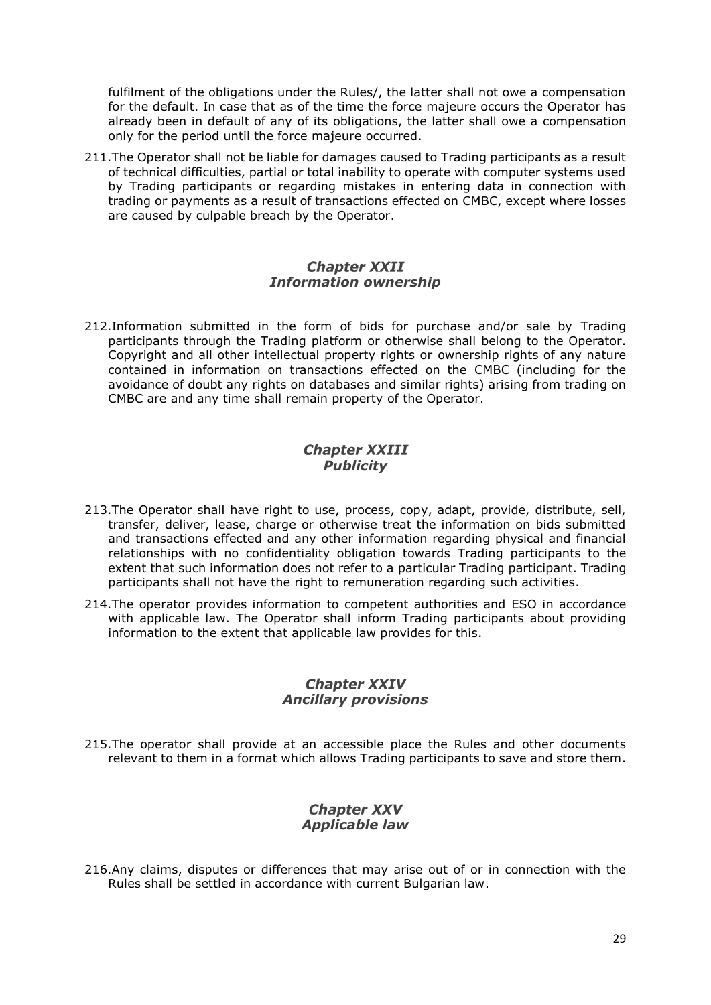fulfilment of the obligations under the Rules/, the latter shall not owe a compensation for the default. In case that as of the time the force majeure occurs the Operator has already been in default of any of its obligations, the latter shall owe a compensation only for the period until the force majeure occurred.

211.The Operator shall not be liable for damages caused to Trading participants as a result of technical difficulties, partial or total inability to operate with computer systems used by Trading participants or regarding mistakes in entering data in connection with trading or payments as a result of transactions effected on CMBC, except where losses are caused by culpable breach by the Operator.

#### **Chapter XXII** *Information ownership*

<span id="page-28-0"></span>212.Information submitted in the form of bids for purchase and/or sale by Trading participants through the Trading platform or otherwise shall belong to the Operator. Copyright and all other intellectual property rights or ownership rights of any nature contained in information on transactions effected on the CMBC (including for the avoidance of doubt any rights on databases and similar rights) arising from trading on CMBC are and any time shall remain property of the Operator.

# **Chapter XXIII** *Publicity*

- <span id="page-28-1"></span>213.The Operator shall have right to use, process, copy, adapt, provide, distribute, sell, transfer, deliver, lease, charge or otherwise treat the information on bids submitted and transactions effected and any other information regarding physical and financial relationships with no confidentiality obligation towards Trading participants to the extent that such information does not refer to a particular Trading participant. Trading participants shall not have the right to remuneration regarding such activities.
- 214.The operator provides information to competent authorities and ESO in accordance with applicable law. The Operator shall inform Trading participants about providing information to the extent that applicable law provides for this.

#### **Chapter XXIV** *Ancillary provisions*

<span id="page-28-2"></span>215.The operator shall provide at an accessible place the Rules and other documents relevant to them in a format which allows Trading participants to save and store them.

# **Chapter XXV** *Applicable law*

<span id="page-28-3"></span>216.Any claims, disputes or differences that may arise out of or in connection with the Rules shall be settled in accordance with current Bulgarian law.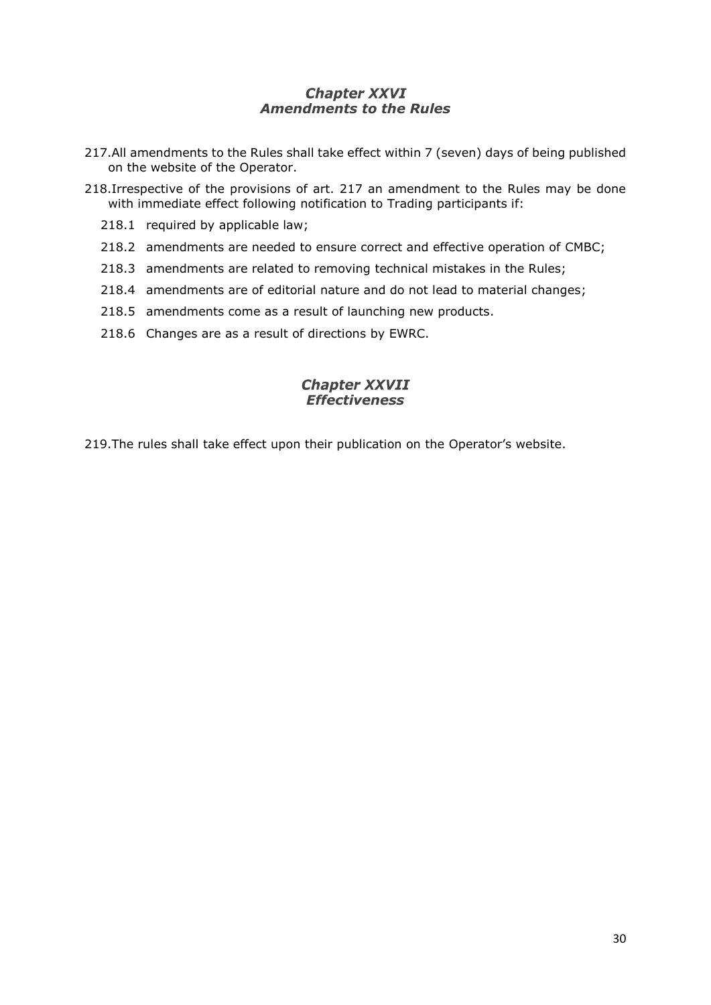# **Chapter XXVI** *Amendments to the Rules*

- <span id="page-29-0"></span>217.All amendments to the Rules shall take effect within 7 (seven) days of being published on the website of the Operator.
- 218.Irrespective of the provisions of art. 217 an amendment to the Rules may be done with immediate effect following notification to Trading participants if:
	- 218.1 required by applicable law;
	- 218.2 amendments are needed to ensure correct and effective operation of CMBC;
	- 218.3 amendments are related to removing technical mistakes in the Rules;
	- 218.4 amendments are of editorial nature and do not lead to material changes;
	- 218.5 amendments come as a result of launching new products.
	- 218.6 Changes are as a result of directions by EWRC.

# **Chapter XXVII** *Effectiveness*

<span id="page-29-1"></span>219.The rules shall take effect upon their publication on the Operator's website.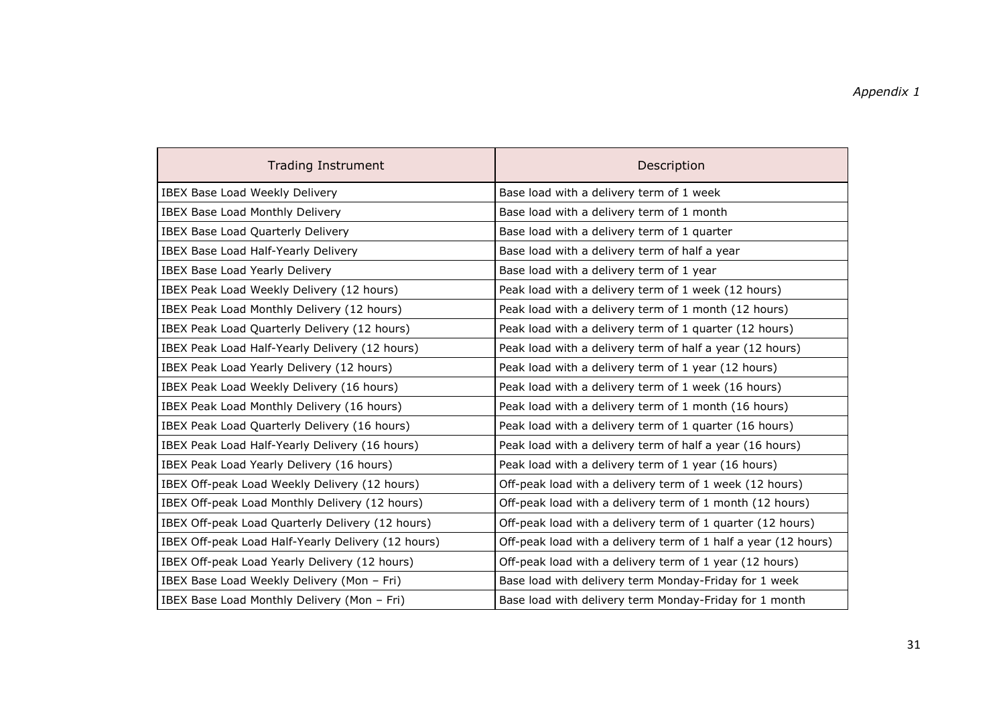| <b>Trading Instrument</b>                          | Description                                                    |
|----------------------------------------------------|----------------------------------------------------------------|
| IBEX Base Load Weekly Delivery                     | Base load with a delivery term of 1 week                       |
| <b>IBEX Base Load Monthly Delivery</b>             | Base load with a delivery term of 1 month                      |
| <b>IBEX Base Load Quarterly Delivery</b>           | Base load with a delivery term of 1 quarter                    |
| IBEX Base Load Half-Yearly Delivery                | Base load with a delivery term of half a year                  |
| IBEX Base Load Yearly Delivery                     | Base load with a delivery term of 1 year                       |
| IBEX Peak Load Weekly Delivery (12 hours)          | Peak load with a delivery term of 1 week (12 hours)            |
| IBEX Peak Load Monthly Delivery (12 hours)         | Peak load with a delivery term of 1 month (12 hours)           |
| IBEX Peak Load Quarterly Delivery (12 hours)       | Peak load with a delivery term of 1 quarter (12 hours)         |
| IBEX Peak Load Half-Yearly Delivery (12 hours)     | Peak load with a delivery term of half a year (12 hours)       |
| IBEX Peak Load Yearly Delivery (12 hours)          | Peak load with a delivery term of 1 year (12 hours)            |
| IBEX Peak Load Weekly Delivery (16 hours)          | Peak load with a delivery term of 1 week (16 hours)            |
| IBEX Peak Load Monthly Delivery (16 hours)         | Peak load with a delivery term of 1 month (16 hours)           |
| IBEX Peak Load Quarterly Delivery (16 hours)       | Peak load with a delivery term of 1 quarter (16 hours)         |
| IBEX Peak Load Half-Yearly Delivery (16 hours)     | Peak load with a delivery term of half a year (16 hours)       |
| IBEX Peak Load Yearly Delivery (16 hours)          | Peak load with a delivery term of 1 year (16 hours)            |
| IBEX Off-peak Load Weekly Delivery (12 hours)      | Off-peak load with a delivery term of 1 week (12 hours)        |
| IBEX Off-peak Load Monthly Delivery (12 hours)     | Off-peak load with a delivery term of 1 month (12 hours)       |
| IBEX Off-peak Load Quarterly Delivery (12 hours)   | Off-peak load with a delivery term of 1 quarter (12 hours)     |
| IBEX Off-peak Load Half-Yearly Delivery (12 hours) | Off-peak load with a delivery term of 1 half a year (12 hours) |
| IBEX Off-peak Load Yearly Delivery (12 hours)      | Off-peak load with a delivery term of 1 year (12 hours)        |
| IBEX Base Load Weekly Delivery (Mon - Fri)         | Base load with delivery term Monday-Friday for 1 week          |
| IBEX Base Load Monthly Delivery (Mon - Fri)        | Base load with delivery term Monday-Friday for 1 month         |